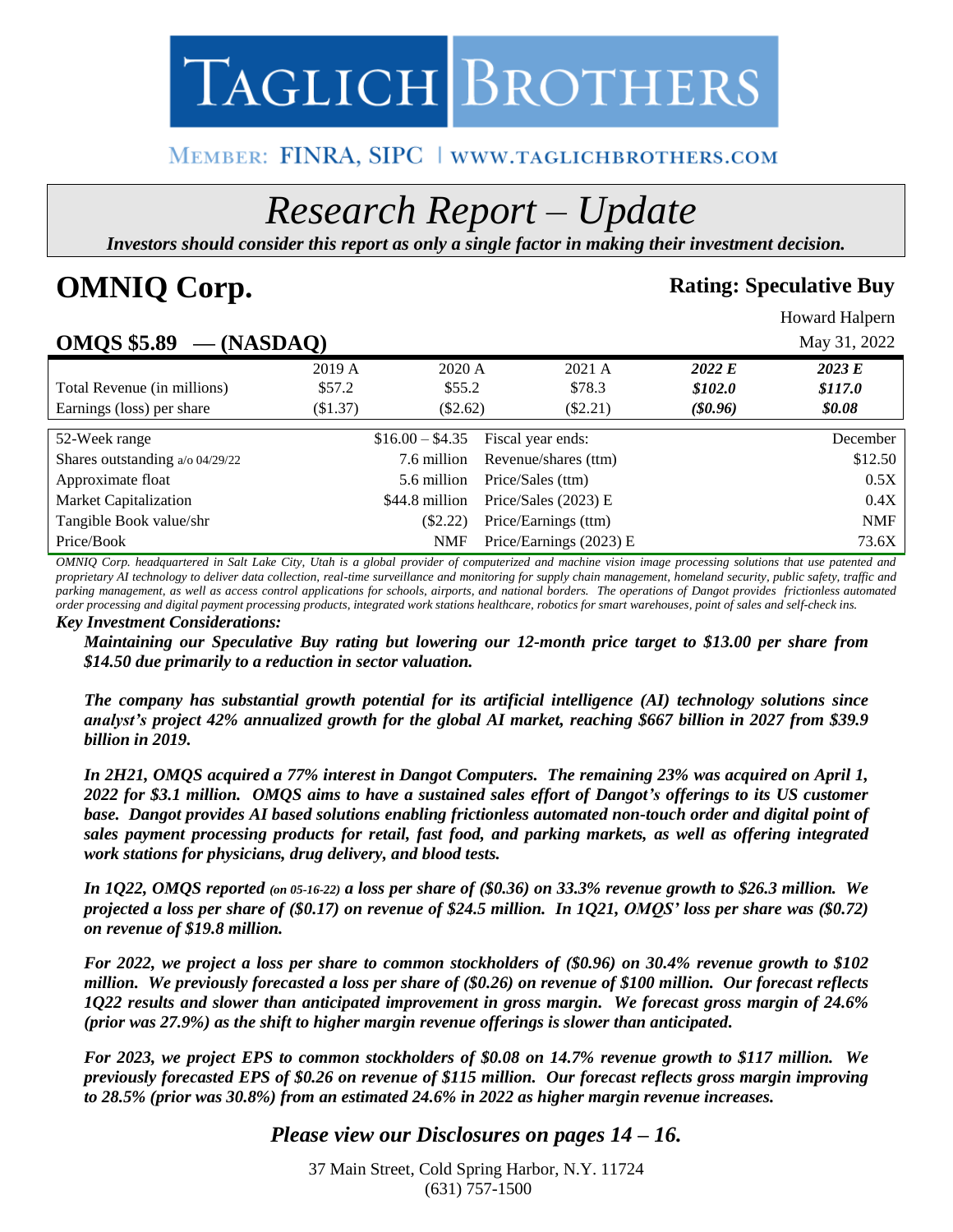

# MEMBER: FINRA, SIPC | www.taglichbrothers.com

# *Research Report – Update*

*Investors should consider this report as only a single factor in making their investment decision.*

# **OMNIQ Corp. Rating: Speculative Buy**

Howard Halpern

# **OMQS \$5.89 — (NASDAQ)** May 31, 2022

| --- <del>-</del> ---                   | ◥.        |                  |                         |            |            |
|----------------------------------------|-----------|------------------|-------------------------|------------|------------|
|                                        | 2019 A    | 2020 A           | $2021 \text{ A}$        | 2022 E     | 2023 E     |
| Total Revenue (in millions)            | \$57.2    | \$55.2\$         | \$78.3                  | \$102.0    | \$117.0    |
| Earnings (loss) per share              | $\$1.37)$ | $(\$2.62)$       | $(\$2.21)$              | $(\$0.96)$ | \$0.08     |
|                                        |           |                  |                         |            |            |
| 52-Week range                          |           | $$16.00 - $4.35$ | Fiscal year ends:       |            | December   |
| Shares outstanding $a/\sigma$ 04/29/22 |           | 7.6 million      | Revenue/shares (ttm)    |            | \$12.50    |
| Approximate float                      |           | 5.6 million      | Price/Sales (ttm)       |            | 0.5X       |
| <b>Market Capitalization</b>           |           | \$44.8 million   | Price/Sales $(2023)$ E  |            | 0.4X       |
| Tangible Book value/shr                |           | $(\$2.22)$       | Price/Earnings (ttm)    |            | <b>NMF</b> |
| Price/Book                             |           | NMF              | Price/Earnings (2023) E |            | 73.6X      |

*OMNIQ Corp. headquartered in Salt Lake City, Utah is a global provider of computerized and machine vision image processing solutions that use patented and proprietary AI technology to deliver data collection, real-time surveillance and monitoring for supply chain management, homeland security, public safety, traffic and parking management, as well as access control applications for schools, airports, and national borders. The operations of Dangot provides frictionless automated order processing and digital payment processing products, integrated work stations healthcare, robotics for smart warehouses, point of sales and self-check ins.* 

#### *Key Investment Considerations:*

*Maintaining our Speculative Buy rating but lowering our 12-month price target to \$13.00 per share from \$14.50 due primarily to a reduction in sector valuation.*

*The company has substantial growth potential for its artificial intelligence (AI) technology solutions since analyst's project 42% annualized growth for the global AI market, reaching \$667 billion in 2027 from \$39.9 billion in 2019.* 

*In 2H21, OMQS acquired a 77% interest in Dangot Computers. The remaining 23% was acquired on April 1, 2022 for \$3.1 million. OMQS aims to have a sustained sales effort of Dangot's offerings to its US customer base. Dangot provides AI based solutions enabling frictionless automated non-touch order and digital point of sales payment processing products for retail, fast food, and parking markets, as well as offering integrated work stations for physicians, drug delivery, and blood tests.*

*In 1Q22, OMQS reported (on 05-16-22) a loss per share of (\$0.36) on 33.3% revenue growth to \$26.3 million. We projected a loss per share of (\$0.17) on revenue of \$24.5 million. In 1Q21, OMQS' loss per share was (\$0.72) on revenue of \$19.8 million.* 

*For 2022, we project a loss per share to common stockholders of (\$0.96) on 30.4% revenue growth to \$102 million. We previously forecasted a loss per share of (\$0.26) on revenue of \$100 million. Our forecast reflects 1Q22 results and slower than anticipated improvement in gross margin. We forecast gross margin of 24.6% (prior was 27.9%) as the shift to higher margin revenue offerings is slower than anticipated.* 

*For 2023, we project EPS to common stockholders of \$0.08 on 14.7% revenue growth to \$117 million. We previously forecasted EPS of \$0.26 on revenue of \$115 million. Our forecast reflects gross margin improving to 28.5% (prior was 30.8%) from an estimated 24.6% in 2022 as higher margin revenue increases.*

### *Please view our Disclosures on pages 14 – 16.*

37 Main Street, Cold Spring Harbor, N.Y. 11724 (631) 757-1500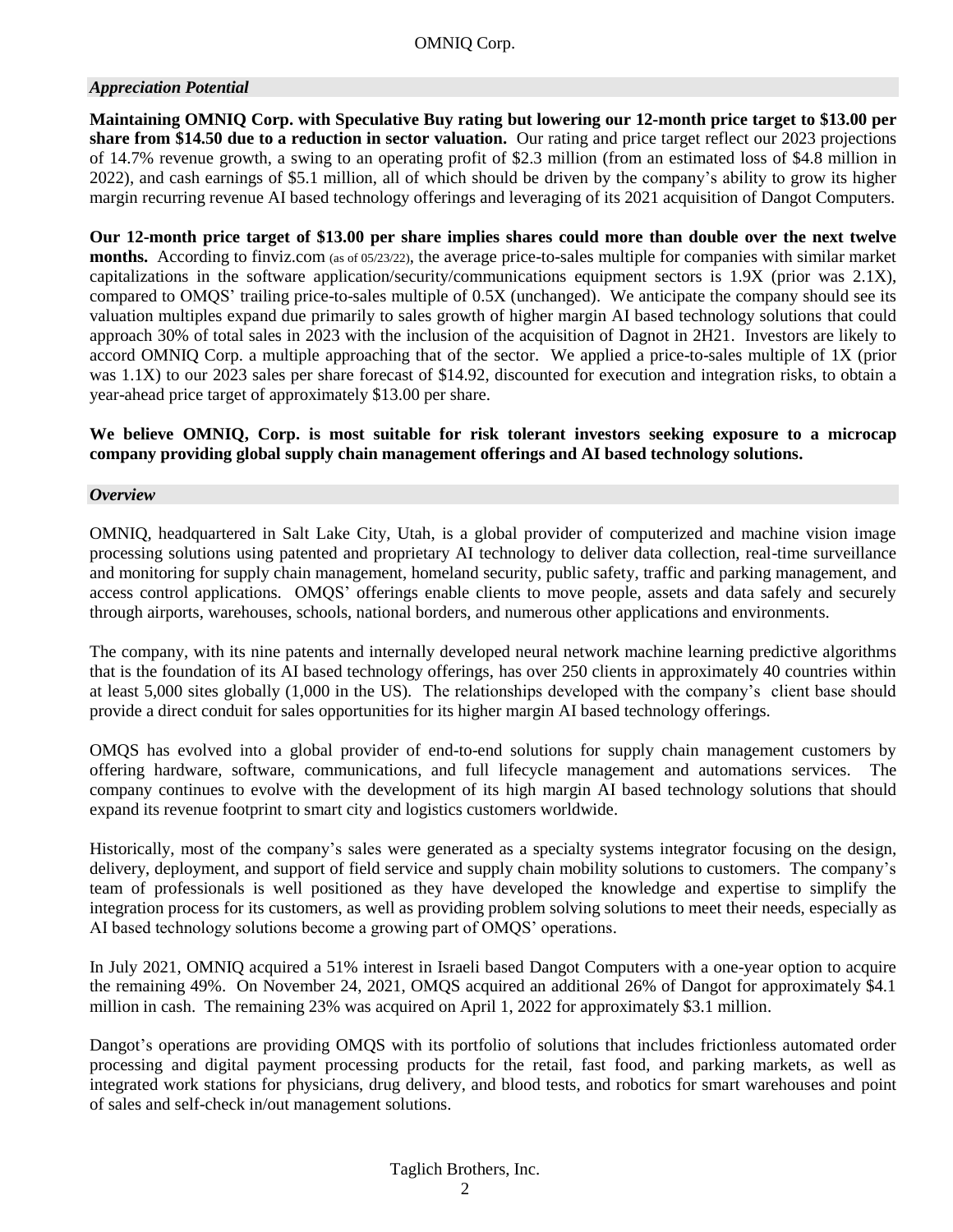#### *Appreciation Potential*

**Maintaining OMNIQ Corp. with Speculative Buy rating but lowering our 12-month price target to \$13.00 per share from \$14.50 due to a reduction in sector valuation.** Our rating and price target reflect our 2023 projections of 14.7% revenue growth, a swing to an operating profit of \$2.3 million (from an estimated loss of \$4.8 million in 2022), and cash earnings of \$5.1 million, all of which should be driven by the company's ability to grow its higher margin recurring revenue AI based technology offerings and leveraging of its 2021 acquisition of Dangot Computers.

**Our 12-month price target of \$13.00 per share implies shares could more than double over the next twelve months.** According to finviz.com (as of 05/23/22), the average price-to-sales multiple for companies with similar market capitalizations in the software application/security/communications equipment sectors is 1.9X (prior was 2.1X), compared to OMQS' trailing price-to-sales multiple of 0.5X (unchanged). We anticipate the company should see its valuation multiples expand due primarily to sales growth of higher margin AI based technology solutions that could approach 30% of total sales in 2023 with the inclusion of the acquisition of Dagnot in 2H21. Investors are likely to accord OMNIQ Corp. a multiple approaching that of the sector. We applied a price-to-sales multiple of 1X (prior was 1.1X) to our 2023 sales per share forecast of \$14.92, discounted for execution and integration risks, to obtain a year-ahead price target of approximately \$13.00 per share.

**We believe OMNIQ, Corp. is most suitable for risk tolerant investors seeking exposure to a microcap company providing global supply chain management offerings and AI based technology solutions.**

#### *Overview*

OMNIQ, headquartered in Salt Lake City, Utah, is a global provider of computerized and machine vision image processing solutions using patented and proprietary AI technology to deliver data collection, real-time surveillance and monitoring for supply chain management, homeland security, public safety, traffic and parking management, and access control applications. OMQS' offerings enable clients to move people, assets and data safely and securely through airports, warehouses, schools, national borders, and numerous other applications and environments.

The company, with its nine patents and internally developed neural network machine learning predictive algorithms that is the foundation of its AI based technology offerings, has over 250 clients in approximately 40 countries within at least 5,000 sites globally (1,000 in the US). The relationships developed with the company's client base should provide a direct conduit for sales opportunities for its higher margin AI based technology offerings.

OMQS has evolved into a global provider of end-to-end solutions for supply chain management customers by offering hardware, software, communications, and full lifecycle management and automations services. The company continues to evolve with the development of its high margin AI based technology solutions that should expand its revenue footprint to smart city and logistics customers worldwide.

Historically, most of the company's sales were generated as a specialty systems integrator focusing on the design, delivery, deployment, and support of field service and supply chain mobility solutions to customers. The company's team of professionals is well positioned as they have developed the knowledge and expertise to simplify the integration process for its customers, as well as providing problem solving solutions to meet their needs, especially as AI based technology solutions become a growing part of OMQS' operations.

In July 2021, OMNIQ acquired a 51% interest in Israeli based Dangot Computers with a one-year option to acquire the remaining 49%. On November 24, 2021, OMQS acquired an additional 26% of Dangot for approximately \$4.1 million in cash. The remaining 23% was acquired on April 1, 2022 for approximately \$3.1 million.

Dangot's operations are providing OMQS with its portfolio of solutions that includes frictionless automated order processing and digital payment processing products for the retail, fast food, and parking markets, as well as integrated work stations for physicians, drug delivery, and blood tests, and robotics for smart warehouses and point of sales and self-check in/out management solutions.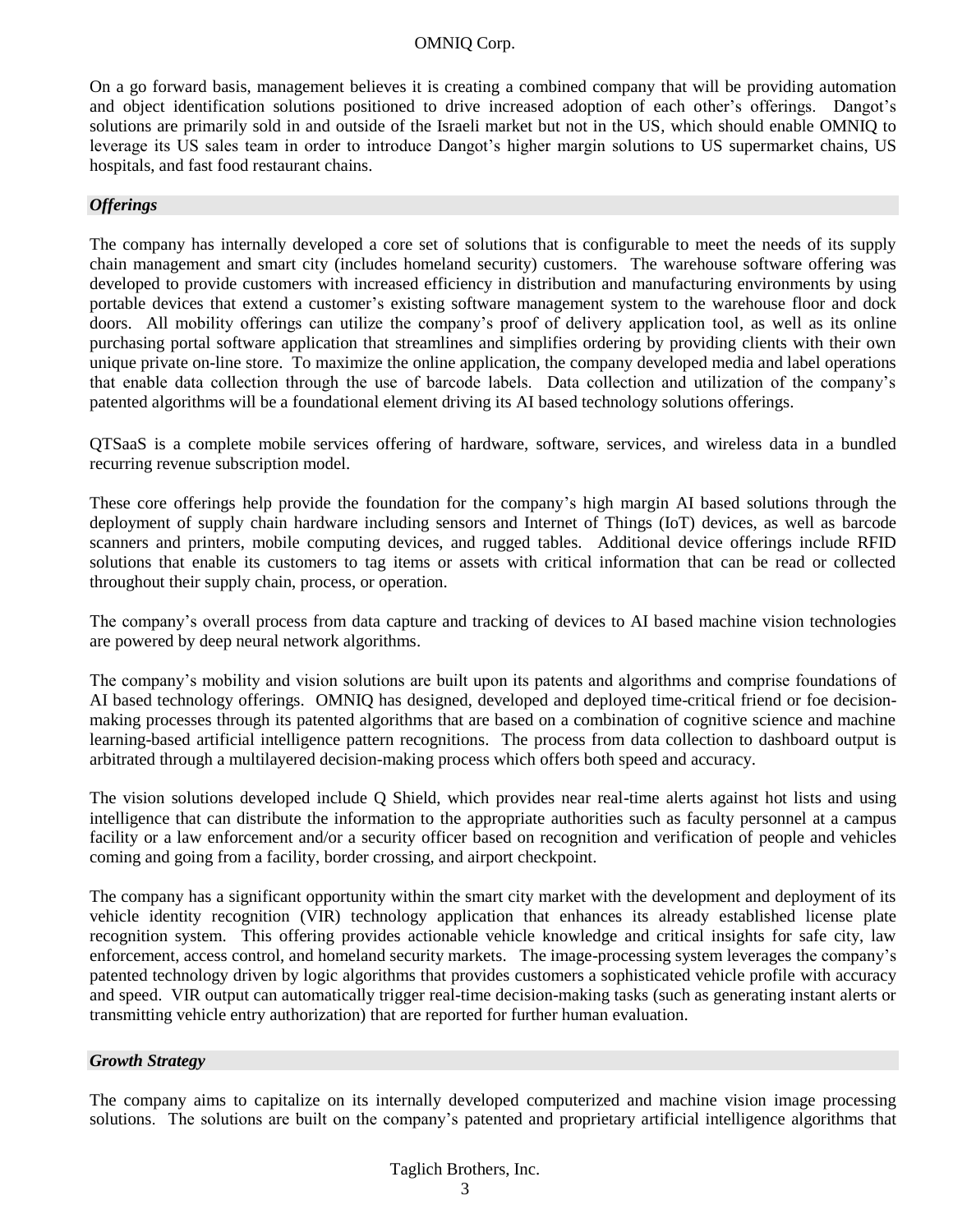On a go forward basis, management believes it is creating a combined company that will be providing automation and object identification solutions positioned to drive increased adoption of each other's offerings. Dangot's solutions are primarily sold in and outside of the Israeli market but not in the US, which should enable OMNIQ to leverage its US sales team in order to introduce Dangot's higher margin solutions to US supermarket chains, US hospitals, and fast food restaurant chains.

#### *Offerings*

The company has internally developed a core set of solutions that is configurable to meet the needs of its supply chain management and smart city (includes homeland security) customers. The warehouse software offering was developed to provide customers with increased efficiency in distribution and manufacturing environments by using portable devices that extend a customer's existing software management system to the warehouse floor and dock doors. All mobility offerings can utilize the company's proof of delivery application tool, as well as its online purchasing portal software application that streamlines and simplifies ordering by providing clients with their own unique private on-line store. To maximize the online application, the company developed media and label operations that enable data collection through the use of barcode labels. Data collection and utilization of the company's patented algorithms will be a foundational element driving its AI based technology solutions offerings.

QTSaaS is a complete mobile services offering of hardware, software, services, and wireless data in a bundled recurring revenue subscription model.

These core offerings help provide the foundation for the company's high margin AI based solutions through the deployment of supply chain hardware including sensors and Internet of Things (IoT) devices, as well as barcode scanners and printers, mobile computing devices, and rugged tables. Additional device offerings include RFID solutions that enable its customers to tag items or assets with critical information that can be read or collected throughout their supply chain, process, or operation.

The company's overall process from data capture and tracking of devices to AI based machine vision technologies are powered by deep neural network algorithms.

The company's mobility and vision solutions are built upon its patents and algorithms and comprise foundations of AI based technology offerings. OMNIQ has designed, developed and deployed time-critical friend or foe decisionmaking processes through its patented algorithms that are based on a combination of cognitive science and machine learning-based artificial intelligence pattern recognitions. The process from data collection to dashboard output is arbitrated through a multilayered decision-making process which offers both speed and accuracy.

The vision solutions developed include Q Shield, which provides near real-time alerts against hot lists and using intelligence that can distribute the information to the appropriate authorities such as faculty personnel at a campus facility or a law enforcement and/or a security officer based on recognition and verification of people and vehicles coming and going from a facility, border crossing, and airport checkpoint.

The company has a significant opportunity within the smart city market with the development and deployment of its vehicle identity recognition (VIR) technology application that enhances its already established license plate recognition system. This offering provides actionable vehicle knowledge and critical insights for safe city, law enforcement, access control, and homeland security markets. The image-processing system leverages the company's patented technology driven by logic algorithms that provides customers a sophisticated vehicle profile with accuracy and speed. VIR output can automatically trigger real-time decision-making tasks (such as generating instant alerts or transmitting vehicle entry authorization) that are reported for further human evaluation.

#### *Growth Strategy*

The company aims to capitalize on its internally developed computerized and machine vision image processing solutions. The solutions are built on the company's patented and proprietary artificial intelligence algorithms that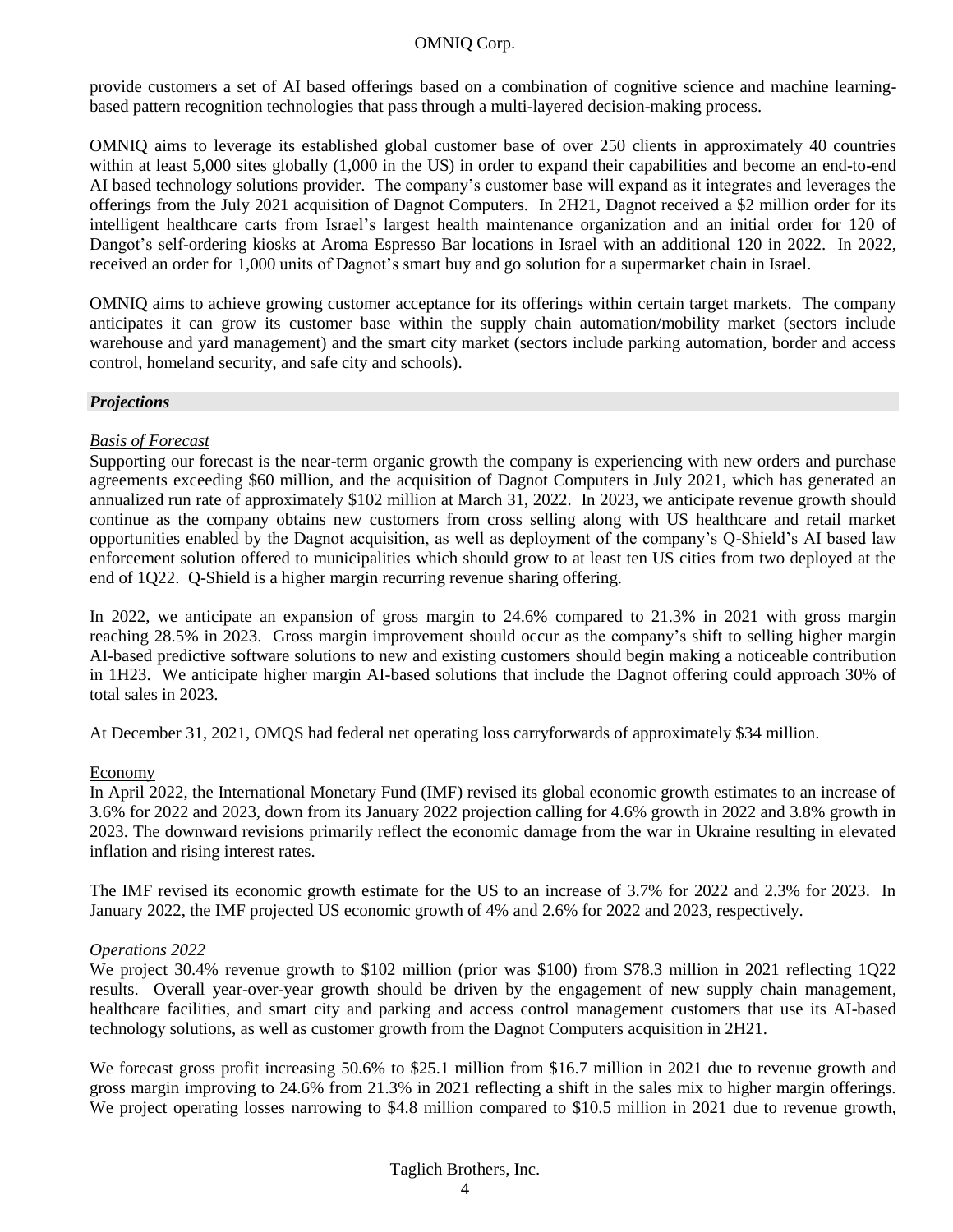provide customers a set of AI based offerings based on a combination of cognitive science and machine learningbased pattern recognition technologies that pass through a multi-layered decision-making process.

OMNIQ aims to leverage its established global customer base of over 250 clients in approximately 40 countries within at least 5,000 sites globally (1,000 in the US) in order to expand their capabilities and become an end-to-end AI based technology solutions provider. The company's customer base will expand as it integrates and leverages the offerings from the July 2021 acquisition of Dagnot Computers. In 2H21, Dagnot received a \$2 million order for its intelligent healthcare carts from Israel's largest health maintenance organization and an initial order for 120 of Dangot's self-ordering kiosks at Aroma Espresso Bar locations in Israel with an additional 120 in 2022. In 2022, received an order for 1,000 units of Dagnot's smart buy and go solution for a supermarket chain in Israel.

OMNIQ aims to achieve growing customer acceptance for its offerings within certain target markets. The company anticipates it can grow its customer base within the supply chain automation/mobility market (sectors include warehouse and yard management) and the smart city market (sectors include parking automation, border and access control, homeland security, and safe city and schools).

#### *Projections*

#### *Basis of Forecast*

Supporting our forecast is the near-term organic growth the company is experiencing with new orders and purchase agreements exceeding \$60 million, and the acquisition of Dagnot Computers in July 2021, which has generated an annualized run rate of approximately \$102 million at March 31, 2022. In 2023, we anticipate revenue growth should continue as the company obtains new customers from cross selling along with US healthcare and retail market opportunities enabled by the Dagnot acquisition, as well as deployment of the company's Q-Shield's AI based law enforcement solution offered to municipalities which should grow to at least ten US cities from two deployed at the end of 1Q22. Q-Shield is a higher margin recurring revenue sharing offering.

In 2022, we anticipate an expansion of gross margin to 24.6% compared to 21.3% in 2021 with gross margin reaching 28.5% in 2023. Gross margin improvement should occur as the company's shift to selling higher margin AI-based predictive software solutions to new and existing customers should begin making a noticeable contribution in 1H23. We anticipate higher margin AI-based solutions that include the Dagnot offering could approach 30% of total sales in 2023.

At December 31, 2021, OMQS had federal net operating loss carryforwards of approximately \$34 million.

#### Economy

In April 2022, the International Monetary Fund (IMF) revised its global economic growth estimates to an increase of 3.6% for 2022 and 2023, down from its January 2022 projection calling for 4.6% growth in 2022 and 3.8% growth in 2023. The downward revisions primarily reflect the economic damage from the war in Ukraine resulting in elevated inflation and rising interest rates.

The IMF revised its economic growth estimate for the US to an increase of 3.7% for 2022 and 2.3% for 2023. In January 2022, the IMF projected US economic growth of 4% and 2.6% for 2022 and 2023, respectively.

#### *Operations 2022*

We project 30.4% revenue growth to \$102 million (prior was \$100) from \$78.3 million in 2021 reflecting 1Q22 results. Overall year-over-year growth should be driven by the engagement of new supply chain management, healthcare facilities, and smart city and parking and access control management customers that use its AI-based technology solutions, as well as customer growth from the Dagnot Computers acquisition in 2H21.

We forecast gross profit increasing 50.6% to \$25.1 million from \$16.7 million in 2021 due to revenue growth and gross margin improving to 24.6% from 21.3% in 2021 reflecting a shift in the sales mix to higher margin offerings. We project operating losses narrowing to \$4.8 million compared to \$10.5 million in 2021 due to revenue growth,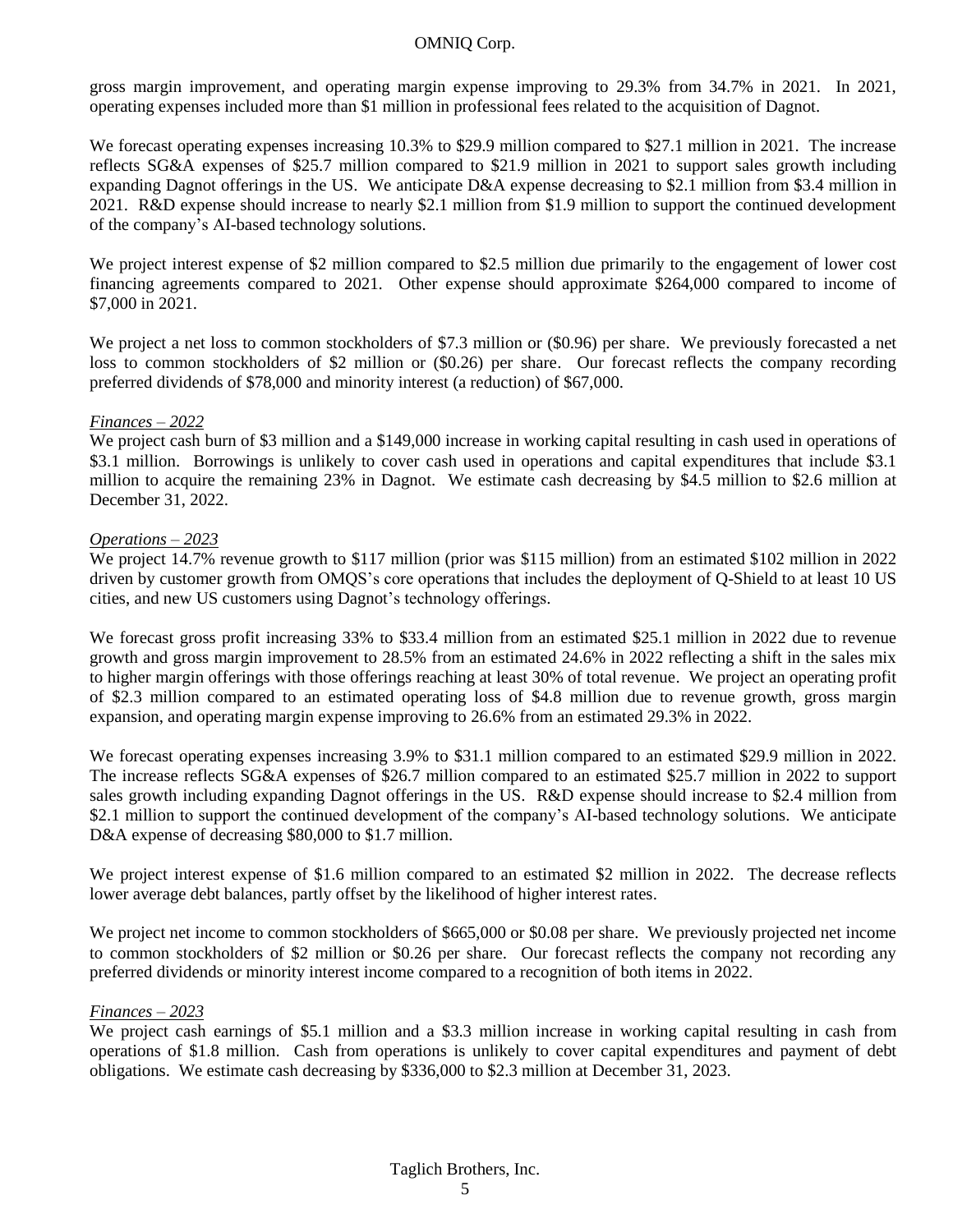gross margin improvement, and operating margin expense improving to 29.3% from 34.7% in 2021. In 2021, operating expenses included more than \$1 million in professional fees related to the acquisition of Dagnot.

We forecast operating expenses increasing 10.3% to \$29.9 million compared to \$27.1 million in 2021. The increase reflects SG&A expenses of \$25.7 million compared to \$21.9 million in 2021 to support sales growth including expanding Dagnot offerings in the US. We anticipate D&A expense decreasing to \$2.1 million from \$3.4 million in 2021. R&D expense should increase to nearly \$2.1 million from \$1.9 million to support the continued development of the company's AI-based technology solutions.

We project interest expense of \$2 million compared to \$2.5 million due primarily to the engagement of lower cost financing agreements compared to 2021. Other expense should approximate \$264,000 compared to income of \$7,000 in 2021.

We project a net loss to common stockholders of \$7.3 million or (\$0.96) per share. We previously forecasted a net loss to common stockholders of \$2 million or (\$0.26) per share. Our forecast reflects the company recording preferred dividends of \$78,000 and minority interest (a reduction) of \$67,000.

#### *Finances – 2022*

We project cash burn of \$3 million and a \$149,000 increase in working capital resulting in cash used in operations of \$3.1 million. Borrowings is unlikely to cover cash used in operations and capital expenditures that include \$3.1 million to acquire the remaining 23% in Dagnot. We estimate cash decreasing by \$4.5 million to \$2.6 million at December 31, 2022.

#### *Operations – 2023*

We project 14.7% revenue growth to \$117 million (prior was \$115 million) from an estimated \$102 million in 2022 driven by customer growth from OMQS's core operations that includes the deployment of Q-Shield to at least 10 US cities, and new US customers using Dagnot's technology offerings.

We forecast gross profit increasing 33% to \$33.4 million from an estimated \$25.1 million in 2022 due to revenue growth and gross margin improvement to 28.5% from an estimated 24.6% in 2022 reflecting a shift in the sales mix to higher margin offerings with those offerings reaching at least 30% of total revenue. We project an operating profit of \$2.3 million compared to an estimated operating loss of \$4.8 million due to revenue growth, gross margin expansion, and operating margin expense improving to 26.6% from an estimated 29.3% in 2022.

We forecast operating expenses increasing 3.9% to \$31.1 million compared to an estimated \$29.9 million in 2022. The increase reflects SG&A expenses of \$26.7 million compared to an estimated \$25.7 million in 2022 to support sales growth including expanding Dagnot offerings in the US. R&D expense should increase to \$2.4 million from \$2.1 million to support the continued development of the company's AI-based technology solutions. We anticipate D&A expense of decreasing \$80,000 to \$1.7 million.

We project interest expense of \$1.6 million compared to an estimated \$2 million in 2022. The decrease reflects lower average debt balances, partly offset by the likelihood of higher interest rates.

We project net income to common stockholders of \$665,000 or \$0.08 per share. We previously projected net income to common stockholders of \$2 million or \$0.26 per share. Our forecast reflects the company not recording any preferred dividends or minority interest income compared to a recognition of both items in 2022.

#### *Finances – 2023*

We project cash earnings of \$5.1 million and a \$3.3 million increase in working capital resulting in cash from operations of \$1.8 million. Cash from operations is unlikely to cover capital expenditures and payment of debt obligations. We estimate cash decreasing by \$336,000 to \$2.3 million at December 31, 2023.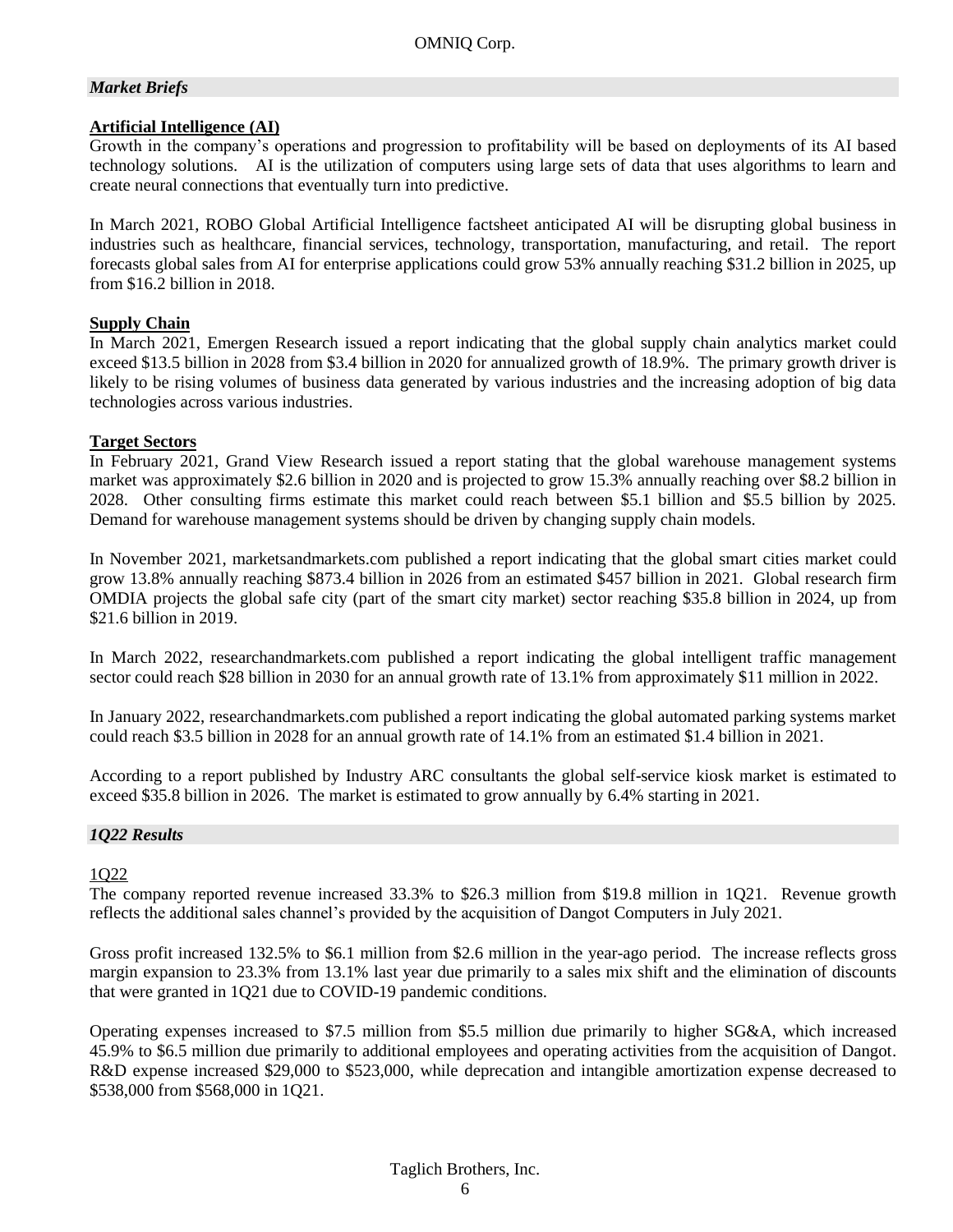#### *Market Briefs*

#### **Artificial Intelligence (AI)**

Growth in the company's operations and progression to profitability will be based on deployments of its AI based technology solutions. AI is the utilization of computers using large sets of data that uses algorithms to learn and create neural connections that eventually turn into predictive.

In March 2021, ROBO Global Artificial Intelligence factsheet anticipated AI will be disrupting global business in industries such as healthcare, financial services, technology, transportation, manufacturing, and retail. The report forecasts global sales from AI for enterprise applications could grow 53% annually reaching \$31.2 billion in 2025, up from \$16.2 billion in 2018.

#### **Supply Chain**

In March 2021, Emergen Research issued a report indicating that the global supply chain analytics market could exceed \$13.5 billion in 2028 from \$3.4 billion in 2020 for annualized growth of 18.9%. The primary growth driver is likely to be rising volumes of business data generated by various industries and the increasing adoption of big data technologies across various industries.

#### **Target Sectors**

In February 2021, Grand View Research issued a report stating that the global warehouse management systems market was approximately \$2.6 billion in 2020 and is projected to grow 15.3% annually reaching over \$8.2 billion in 2028. Other consulting firms estimate this market could reach between \$5.1 billion and \$5.5 billion by 2025. Demand for warehouse management systems should be driven by changing supply chain models.

In November 2021, marketsandmarkets.com published a report indicating that the global smart cities market could grow 13.8% annually reaching \$873.4 billion in 2026 from an estimated \$457 billion in 2021. Global research firm OMDIA projects the global safe city (part of the smart city market) sector reaching \$35.8 billion in 2024, up from \$21.6 billion in 2019.

In March 2022, researchandmarkets.com published a report indicating the global intelligent traffic management sector could reach \$28 billion in 2030 for an annual growth rate of 13.1% from approximately \$11 million in 2022.

In January 2022, researchandmarkets.com published a report indicating the global automated parking systems market could reach \$3.5 billion in 2028 for an annual growth rate of 14.1% from an estimated \$1.4 billion in 2021.

According to a report published by Industry ARC consultants the global self-service kiosk market is estimated to exceed \$35.8 billion in 2026. The market is estimated to grow annually by 6.4% starting in 2021.

#### *1Q22 Results*

#### 1Q22

The company reported revenue increased 33.3% to \$26.3 million from \$19.8 million in 1Q21. Revenue growth reflects the additional sales channel's provided by the acquisition of Dangot Computers in July 2021.

Gross profit increased 132.5% to \$6.1 million from \$2.6 million in the year-ago period. The increase reflects gross margin expansion to 23.3% from 13.1% last year due primarily to a sales mix shift and the elimination of discounts that were granted in 1Q21 due to COVID-19 pandemic conditions.

Operating expenses increased to \$7.5 million from \$5.5 million due primarily to higher SG&A, which increased 45.9% to \$6.5 million due primarily to additional employees and operating activities from the acquisition of Dangot. R&D expense increased \$29,000 to \$523,000, while deprecation and intangible amortization expense decreased to \$538,000 from \$568,000 in 1Q21.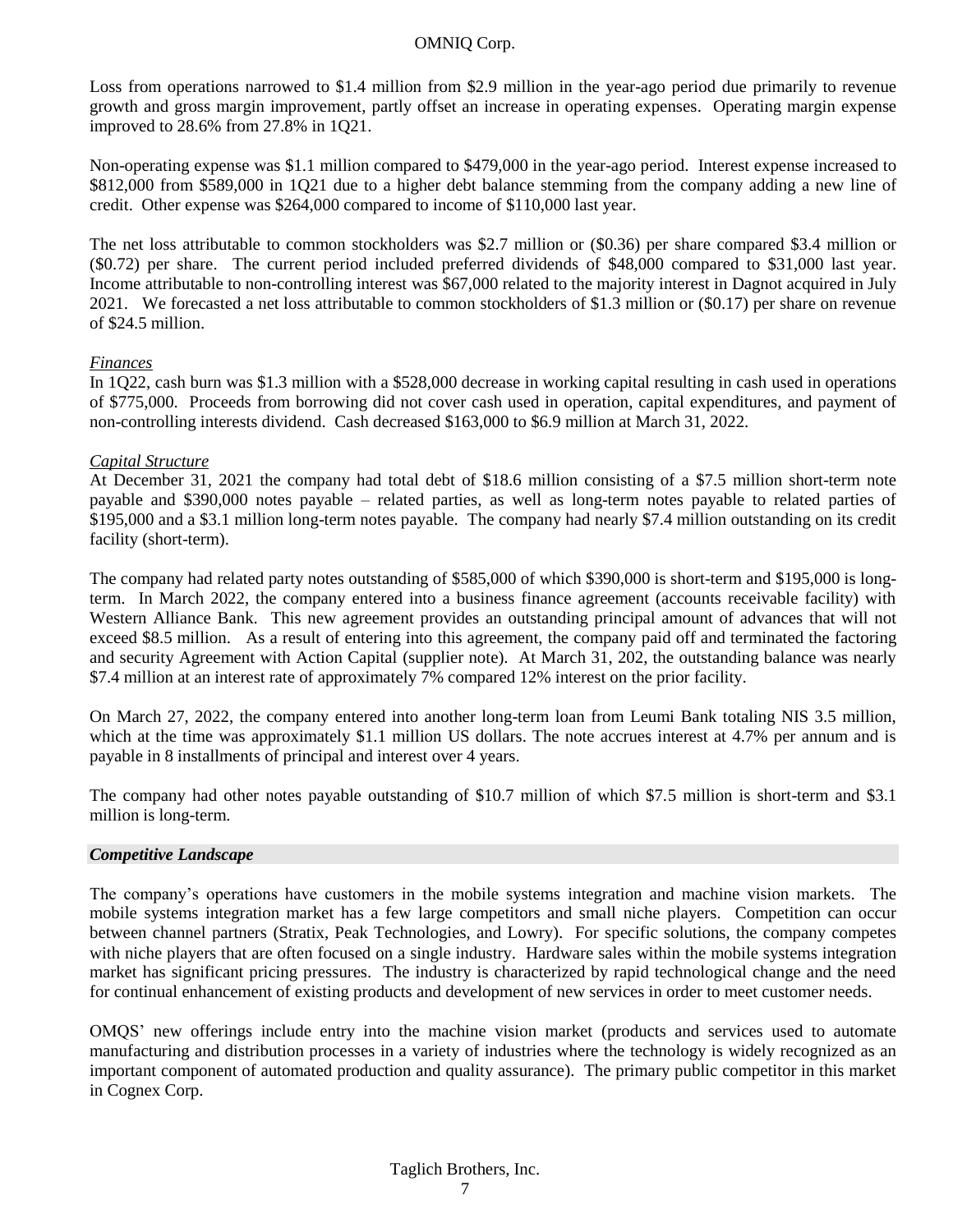Loss from operations narrowed to \$1.4 million from \$2.9 million in the year-ago period due primarily to revenue growth and gross margin improvement, partly offset an increase in operating expenses. Operating margin expense improved to 28.6% from 27.8% in 1Q21.

Non-operating expense was \$1.1 million compared to \$479,000 in the year-ago period. Interest expense increased to \$812,000 from \$589,000 in 1Q21 due to a higher debt balance stemming from the company adding a new line of credit. Other expense was \$264,000 compared to income of \$110,000 last year.

The net loss attributable to common stockholders was \$2.7 million or (\$0.36) per share compared \$3.4 million or (\$0.72) per share. The current period included preferred dividends of \$48,000 compared to \$31,000 last year. Income attributable to non-controlling interest was \$67,000 related to the majority interest in Dagnot acquired in July 2021. We forecasted a net loss attributable to common stockholders of \$1.3 million or (\$0.17) per share on revenue of \$24.5 million.

#### *Finances*

In 1Q22, cash burn was \$1.3 million with a \$528,000 decrease in working capital resulting in cash used in operations of \$775,000. Proceeds from borrowing did not cover cash used in operation, capital expenditures, and payment of non-controlling interests dividend. Cash decreased \$163,000 to \$6.9 million at March 31, 2022.

#### *Capital Structure*

At December 31, 2021 the company had total debt of \$18.6 million consisting of a \$7.5 million short-term note payable and \$390,000 notes payable – related parties, as well as long-term notes payable to related parties of \$195,000 and a \$3.1 million long-term notes payable. The company had nearly \$7.4 million outstanding on its credit facility (short-term).

The company had related party notes outstanding of \$585,000 of which \$390,000 is short-term and \$195,000 is longterm. In March 2022, the company entered into a business finance agreement (accounts receivable facility) with Western Alliance Bank. This new agreement provides an outstanding principal amount of advances that will not exceed \$8.5 million. As a result of entering into this agreement, the company paid off and terminated the factoring and security Agreement with Action Capital (supplier note). At March 31, 202, the outstanding balance was nearly \$7.4 million at an interest rate of approximately 7% compared 12% interest on the prior facility.

On March 27, 2022, the company entered into another long-term loan from Leumi Bank totaling NIS 3.5 million, which at the time was approximately \$1.1 million US dollars. The note accrues interest at 4.7% per annum and is payable in 8 installments of principal and interest over 4 years.

The company had other notes payable outstanding of \$10.7 million of which \$7.5 million is short-term and \$3.1 million is long-term.

#### *Competitive Landscape*

The company's operations have customers in the mobile systems integration and machine vision markets. The mobile systems integration market has a few large competitors and small niche players. Competition can occur between channel partners (Stratix, Peak Technologies, and Lowry). For specific solutions, the company competes with niche players that are often focused on a single industry. Hardware sales within the mobile systems integration market has significant pricing pressures. The industry is characterized by rapid technological change and the need for continual enhancement of existing products and development of new services in order to meet customer needs.

OMQS' new offerings include entry into the machine vision market (products and services used to automate manufacturing and distribution processes in a variety of industries where the technology is widely recognized as an important component of automated production and quality assurance). The primary public competitor in this market in Cognex Corp.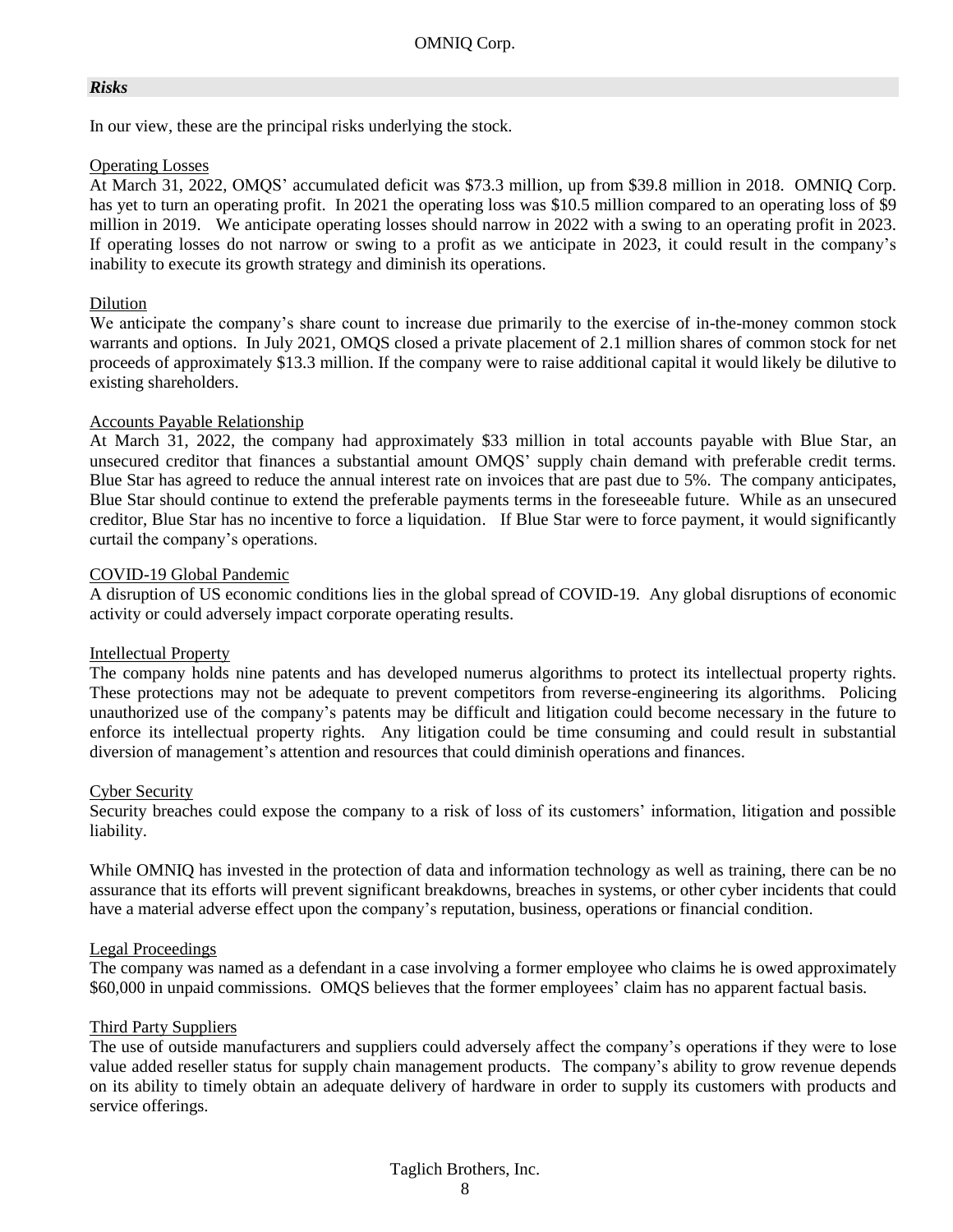#### *Risks*

In our view, these are the principal risks underlying the stock.

#### Operating Losses

At March 31, 2022, OMQS' accumulated deficit was \$73.3 million, up from \$39.8 million in 2018. OMNIQ Corp. has yet to turn an operating profit. In 2021 the operating loss was \$10.5 million compared to an operating loss of \$9 million in 2019. We anticipate operating losses should narrow in 2022 with a swing to an operating profit in 2023. If operating losses do not narrow or swing to a profit as we anticipate in 2023, it could result in the company's inability to execute its growth strategy and diminish its operations.

#### Dilution

We anticipate the company's share count to increase due primarily to the exercise of in-the-money common stock warrants and options. In July 2021, OMQS closed a private placement of 2.1 million shares of common stock for net proceeds of approximately \$13.3 million. If the company were to raise additional capital it would likely be dilutive to existing shareholders.

#### Accounts Payable Relationship

At March 31, 2022, the company had approximately \$33 million in total accounts payable with Blue Star, an unsecured creditor that finances a substantial amount OMQS' supply chain demand with preferable credit terms. Blue Star has agreed to reduce the annual interest rate on invoices that are past due to 5%. The company anticipates, Blue Star should continue to extend the preferable payments terms in the foreseeable future. While as an unsecured creditor, Blue Star has no incentive to force a liquidation. If Blue Star were to force payment, it would significantly curtail the company's operations.

#### COVID-19 Global Pandemic

A disruption of US economic conditions lies in the global spread of COVID-19. Any global disruptions of economic activity or could adversely impact corporate operating results.

#### Intellectual Property

The company holds nine patents and has developed numerus algorithms to protect its intellectual property rights. These protections may not be adequate to prevent competitors from reverse-engineering its algorithms. Policing unauthorized use of the company's patents may be difficult and litigation could become necessary in the future to enforce its intellectual property rights. Any litigation could be time consuming and could result in substantial diversion of management's attention and resources that could diminish operations and finances.

#### Cyber Security

Security breaches could expose the company to a risk of loss of its customers' information, litigation and possible liability.

While OMNIQ has invested in the protection of data and information technology as well as training, there can be no assurance that its efforts will prevent significant breakdowns, breaches in systems, or other cyber incidents that could have a material adverse effect upon the company's reputation, business, operations or financial condition.

#### Legal Proceedings

The company was named as a defendant in a case involving a former employee who claims he is owed approximately \$60,000 in unpaid commissions. OMQS believes that the former employees' claim has no apparent factual basis.

#### Third Party Suppliers

The use of outside manufacturers and suppliers could adversely affect the company's operations if they were to lose value added reseller status for supply chain management products. The company's ability to grow revenue depends on its ability to timely obtain an adequate delivery of hardware in order to supply its customers with products and service offerings.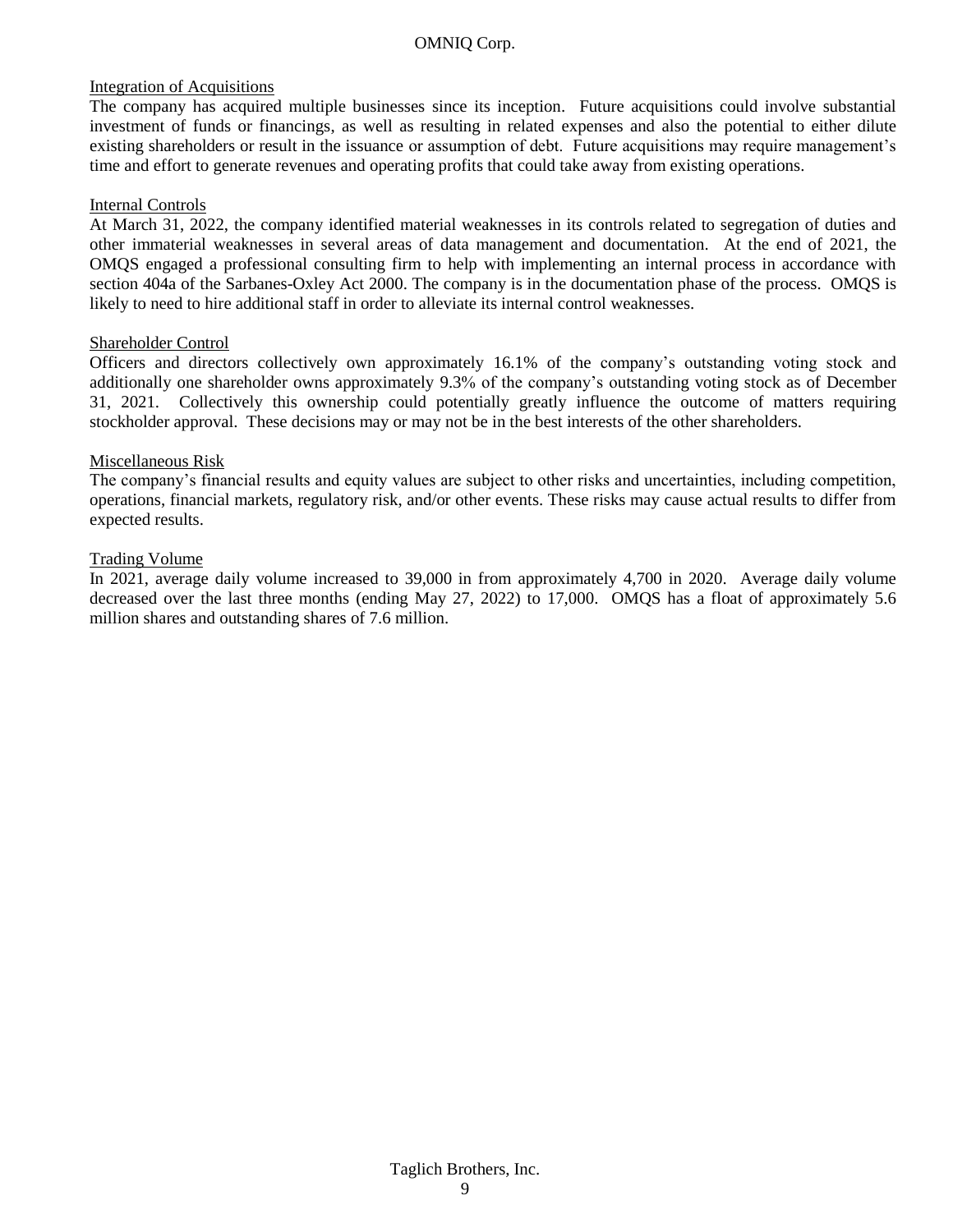#### Integration of Acquisitions

The company has acquired multiple businesses since its inception. Future acquisitions could involve substantial investment of funds or financings, as well as resulting in related expenses and also the potential to either dilute existing shareholders or result in the issuance or assumption of debt. Future acquisitions may require management's time and effort to generate revenues and operating profits that could take away from existing operations.

#### Internal Controls

At March 31, 2022, the company identified material weaknesses in its controls related to segregation of duties and other immaterial weaknesses in several areas of data management and documentation. At the end of 2021, the OMQS engaged a professional consulting firm to help with implementing an internal process in accordance with section 404a of the Sarbanes-Oxley Act 2000. The company is in the documentation phase of the process. OMQS is likely to need to hire additional staff in order to alleviate its internal control weaknesses.

#### Shareholder Control

Officers and directors collectively own approximately 16.1% of the company's outstanding voting stock and additionally one shareholder owns approximately 9.3% of the company's outstanding voting stock as of December 31, 2021. Collectively this ownership could potentially greatly influence the outcome of matters requiring stockholder approval. These decisions may or may not be in the best interests of the other shareholders.

#### Miscellaneous Risk

The company's financial results and equity values are subject to other risks and uncertainties, including competition, operations, financial markets, regulatory risk, and/or other events. These risks may cause actual results to differ from expected results.

#### Trading Volume

In 2021, average daily volume increased to 39,000 in from approximately 4,700 in 2020. Average daily volume decreased over the last three months (ending May 27, 2022) to 17,000. OMQS has a float of approximately 5.6 million shares and outstanding shares of 7.6 million.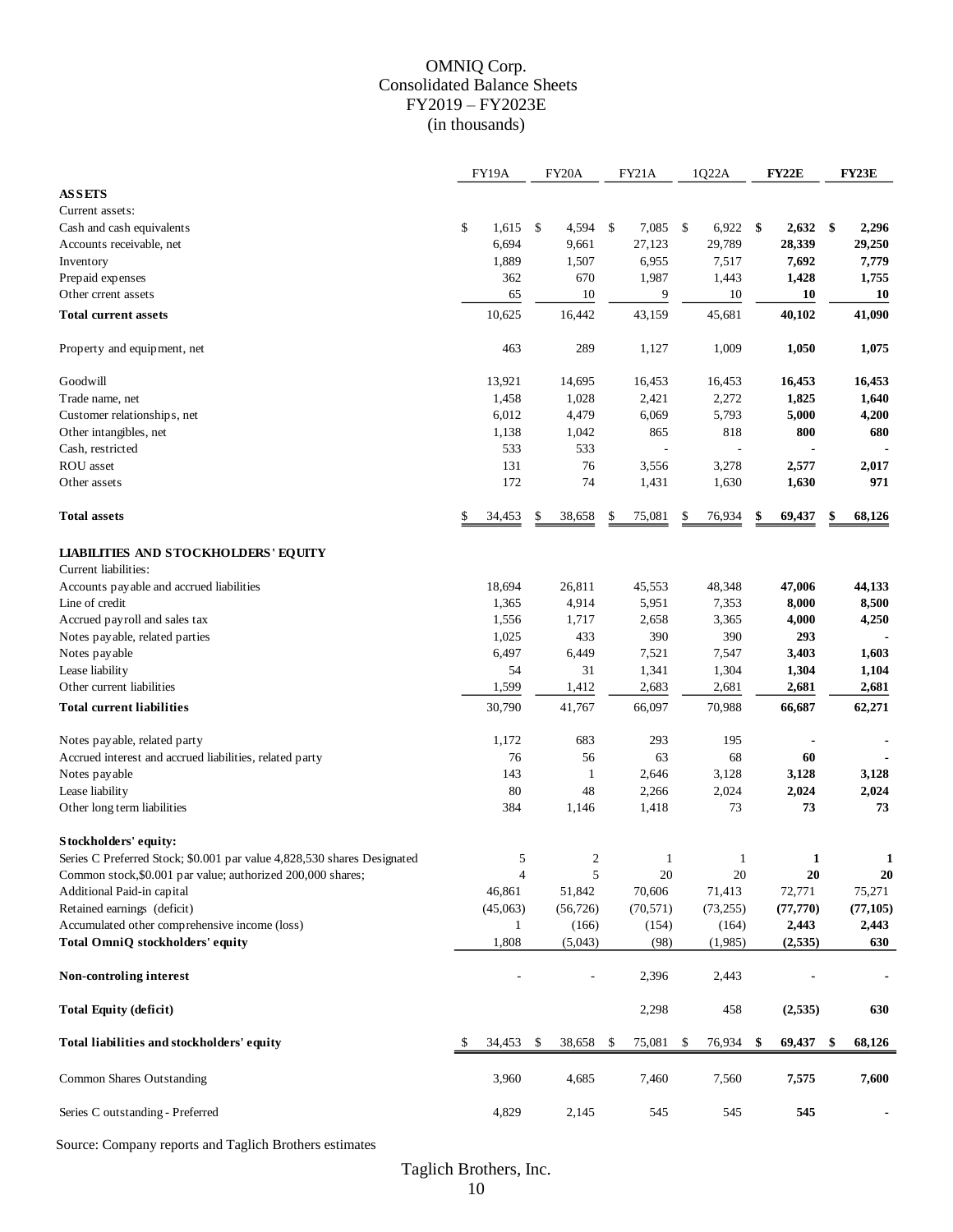#### OMNIQ Corp. Consolidated Balance Sheets FY2019 – FY2023E (in thousands)

|                                                                         |    | FY19A          | FY20A                    |    | FY21A        | 1Q22A        | FY22E        |     | <b>FY23E</b>   |
|-------------------------------------------------------------------------|----|----------------|--------------------------|----|--------------|--------------|--------------|-----|----------------|
| <b>ASSETS</b>                                                           |    |                |                          |    |              |              |              |     |                |
| Current assets:                                                         |    |                |                          |    |              |              |              |     |                |
| Cash and cash equivalents                                               | \$ | 1,615          | \$<br>4,594              | \$ | 7,085 \$     | $6,922$ \$   | 2,632        | -\$ | 2,296          |
| Accounts receivable, net                                                |    | 6,694          | 9,661                    |    | 27,123       | 29,789       | 28,339       |     | 29,250         |
| Inventory                                                               |    | 1,889          | 1,507                    |    | 6,955        | 7,517        | 7,692        |     | 7,779          |
| Prepaid expenses                                                        |    | 362            | 670                      |    | 1,987        | 1,443        | 1,428        |     | 1,755          |
| Other crrent assets                                                     |    | 65             | 10                       |    | 9            | 10           | 10           |     | <b>10</b>      |
| <b>Total current assets</b>                                             |    | 10,625         | 16,442                   |    | 43,159       | 45,681       | 40,102       |     | 41,090         |
| Property and equipment, net                                             |    | 463            | 289                      |    | 1,127        | 1,009        | 1,050        |     | 1,075          |
| Goodwill                                                                |    | 13,921         | 14,695                   |    | 16,453       | 16,453       | 16,453       |     | 16,453         |
| Trade name, net                                                         |    | 1,458          | 1,028                    |    | 2,421        | 2,272        | 1,825        |     | 1,640          |
| Customer relationships, net                                             |    | 6,012          | 4,479                    |    | 6,069        | 5,793        | 5,000        |     | 4,200          |
| Other intangibles, net                                                  |    | 1,138          | 1,042                    |    | 865          | 818          | 800          |     | 680            |
| Cash, restricted                                                        |    | 533            | 533                      |    | L,           |              |              |     |                |
| ROU asset                                                               |    | 131            | 76                       |    | 3,556        | 3,278        | 2,577        |     | 2,017          |
| Other assets                                                            |    | 172            | 74                       |    | 1,431        | 1,630        | 1,630        |     | 971            |
| <b>Total assets</b>                                                     | \$ | 34,453         | \$<br>38,658             | \$ | 75,081       | 76,934       | \$<br>69,437 |     | 68,126         |
| <b>LIABILITIES AND STOCKHOLDERS' EQUITY</b><br>Current liabilities:     |    |                |                          |    |              |              |              |     |                |
| Accounts payable and accrued liabilities                                |    | 18,694         | 26,811                   |    | 45,553       | 48,348       | 47,006       |     | 44,133         |
| Line of credit                                                          |    | 1,365          | 4,914                    |    | 5,951        | 7,353        | 8,000        |     | 8,500          |
| Accrued payroll and sales tax                                           |    | 1,556          | 1,717                    |    | 2,658        | 3,365        | 4,000        |     | 4,250          |
| Notes payable, related parties                                          |    | 1,025          | 433                      |    | 390          | 390          | 293          |     |                |
| Notes payable                                                           |    | 6,497          | 6,449                    |    | 7,521        | 7,547        | 3,403        |     | 1,603          |
| Lease liability                                                         |    | 54             | 31                       |    | 1,341        | 1,304        | 1,304        |     | 1,104          |
| Other current liabilities                                               |    | 1,599          | 1,412                    |    | 2,683        | 2,681        | 2,681        |     | 2,681          |
| <b>Total current liabilities</b>                                        |    | 30,790         | 41,767                   |    | 66,097       | 70,988       | 66,687       |     | 62,271         |
| Notes payable, related party                                            |    | 1,172          | 683                      |    | 293          | 195          |              |     | $\blacksquare$ |
| Accrued interest and accrued liabilities, related party                 |    | 76             | 56                       |    | 63           | 68           | 60           |     |                |
| Notes payable                                                           |    | 143            | -1                       |    | 2,646        | 3,128        | 3,128        |     | 3,128          |
| Lease liability                                                         |    | 80             | 48                       |    | 2,266        | 2,024        | 2,024        |     | 2,024          |
| Other long term liabilities                                             |    | 384            | 1,146                    |    | 1,418        | 73           | 73           |     | 73             |
| Stockholders' equity:                                                   |    |                |                          |    |              |              |              |     |                |
| Series C Preferred Stock; \$0.001 par value 4,828,530 shares Designated |    | 5              | $\overline{c}$           |    | $\mathbf{1}$ | $\mathbf{1}$ | 1            |     | 1              |
| Common stock, \$0.001 par value; authorized 200,000 shares;             |    | $\overline{4}$ | 5                        |    | 20           | 20           | 20           |     | 20             |
| Additional Paid-in capital                                              |    | 46,861         | 51,842                   |    | 70,606       | 71,413       | 72,771       |     | 75,271         |
| Retained earnings (deficit)                                             |    | (45,063)       | (56, 726)                |    | (70, 571)    | (73, 255)    | (77, 770)    |     | (77, 105)      |
| Accumulated other comprehensive income (loss)                           |    | 1              | (166)                    |    | (154)        | (164)        | 2,443        |     | 2,443          |
| Total OmniQ stockholders' equity                                        |    | 1,808          | (5,043)                  |    | (98)         | (1,985)      | (2, 535)     |     | 630            |
| Non-controling interest                                                 |    |                | $\overline{\phantom{a}}$ |    | 2,396        | 2,443        |              |     |                |
| <b>Total Equity (deficit)</b>                                           |    |                |                          |    | 2,298        | 458          | (2, 535)     |     | 630            |
| Total liabilities and stockholders' equity                              | S  | 34,453         | \$<br>38,658             | -S | 75,081       | \$<br>76,934 | \$<br>69,437 | \$  | 68,126         |
| Common Shares Outstanding                                               |    | 3,960          | 4,685                    |    | 7,460        | 7,560        | 7,575        |     | 7,600          |
| Series C outstanding - Preferred                                        |    | 4,829          | 2,145                    |    | 545          | 545          | 545          |     |                |

Source: Company reports and Taglich Brothers estimates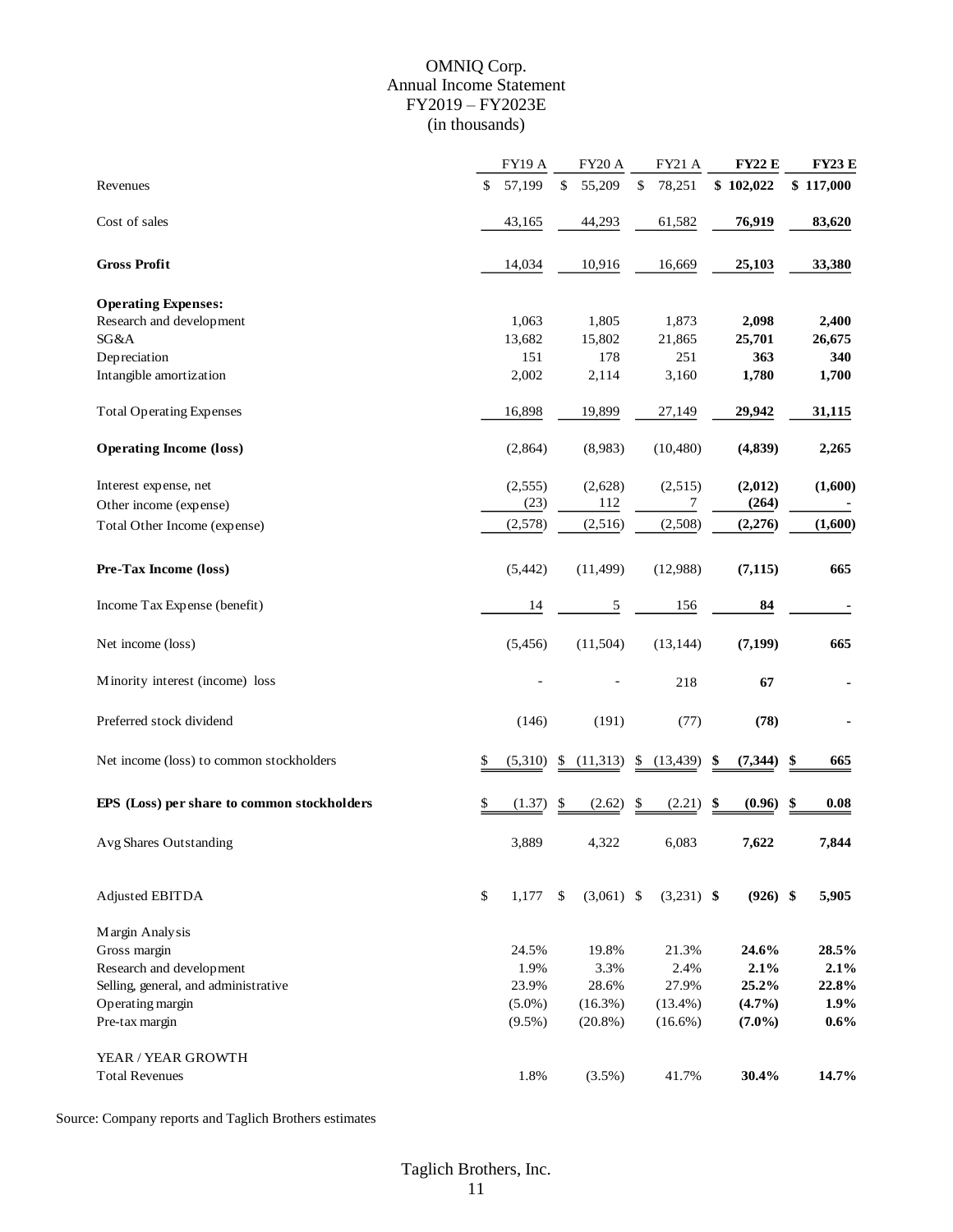#### OMNIQ Corp. Annual Income Statement FY2019 – FY2023E (in thousands)

|                                             | <b>FY19 A</b> | <b>FY20 A</b>      | <b>FY21 A</b>   | <b>FY22 E</b>  | <b>FY23 E</b> |
|---------------------------------------------|---------------|--------------------|-----------------|----------------|---------------|
| Revenues                                    | \$<br>57,199  | \$<br>55,209       | \$<br>78,251    | \$102,022      | \$117,000     |
| Cost of sales                               | 43,165        | 44,293             | 61,582          | 76,919         | 83,620        |
| <b>Gross Profit</b>                         | 14,034        | 10,916             | 16,669          | 25,103         | 33,380        |
| <b>Operating Expenses:</b>                  |               |                    |                 |                |               |
| Research and development                    | 1,063         | 1,805              | 1,873           | 2,098          | 2,400         |
| SG&A                                        | 13,682        | 15,802             | 21,865          | 25,701         | 26,675        |
| Depreciation                                | 151           | 178                | 251             | 363            | 340           |
| Intangible amortization                     | 2,002         | 2,114              | 3,160           | 1,780          | 1,700         |
| <b>Total Operating Expenses</b>             | 16,898        | 19,899             | 27,149          | 29,942         | 31,115        |
| <b>Operating Income (loss)</b>              | (2,864)       | (8,983)            | (10, 480)       | (4,839)        | 2,265         |
| Interest expense, net                       | (2,555)       | (2,628)            | (2,515)         | (2,012)        | (1,600)       |
| Other income (expense)                      | (23)          | 112                | 7               | (264)          |               |
| Total Other Income (expense)                | (2,578)       | (2,516)            | (2,508)         | (2,276)        | (1,600)       |
| Pre-Tax Income (loss)                       | (5, 442)      | (11, 499)          | (12,988)        | (7, 115)       | 665           |
| Income Tax Expense (benefit)                | 14            | $\sqrt{5}$         | 156             | 84             |               |
| Net income (loss)                           | (5, 456)      | (11,504)           | (13, 144)       | (7, 199)       | 665           |
| Minority interest (income) loss             |               |                    | 218             | 67             |               |
| Preferred stock dividend                    | (146)         | (191)              | (77)            | (78)           |               |
| Net income (loss) to common stockholders    | \$<br>(5,310) | \$<br>(11,313)     | \$<br>(13, 439) | \$<br>(7, 344) | \$<br>665     |
| EPS (Loss) per share to common stockholders | \$<br>(1.37)  | \$<br>(2.62)       | \$<br>(2.21)    | \$<br>(0.96)   | \$<br>0.08    |
| <b>Avg Shares Outstanding</b>               | 3,889         | 4,322              | 6,083           | 7,622          | 7,844         |
| Adjusted EBITDA                             | \$<br>1,177   | \$<br>$(3,061)$ \$ | $(3,231)$ \$    | $(926)$ \$     | 5,905         |
| Margin Analysis                             |               |                    |                 |                |               |
| Gross margin                                | 24.5%         | 19.8%              | 21.3%           | 24.6%          | 28.5%         |
| Research and development                    | 1.9%          | 3.3%               | 2.4%            | 2.1%           | 2.1%          |
| Selling, general, and administrative        | 23.9%         | 28.6%              | 27.9%           | 25.2%          | 22.8%         |
| Operating margin                            | $(5.0\%)$     | (16.3%)            | $(13.4\%)$      | $(4.7\%)$      | 1.9%          |
| Pre-tax margin                              | $(9.5\%)$     | $(20.8\%)$         | $(16.6\%)$      | $(7.0\%)$      | 0.6%          |
| YEAR / YEAR GROWTH                          |               |                    |                 |                |               |
| <b>Total Revenues</b>                       | 1.8%          | $(3.5\%)$          | 41.7%           | 30.4%          | 14.7%         |

Source: Company reports and Taglich Brothers estimates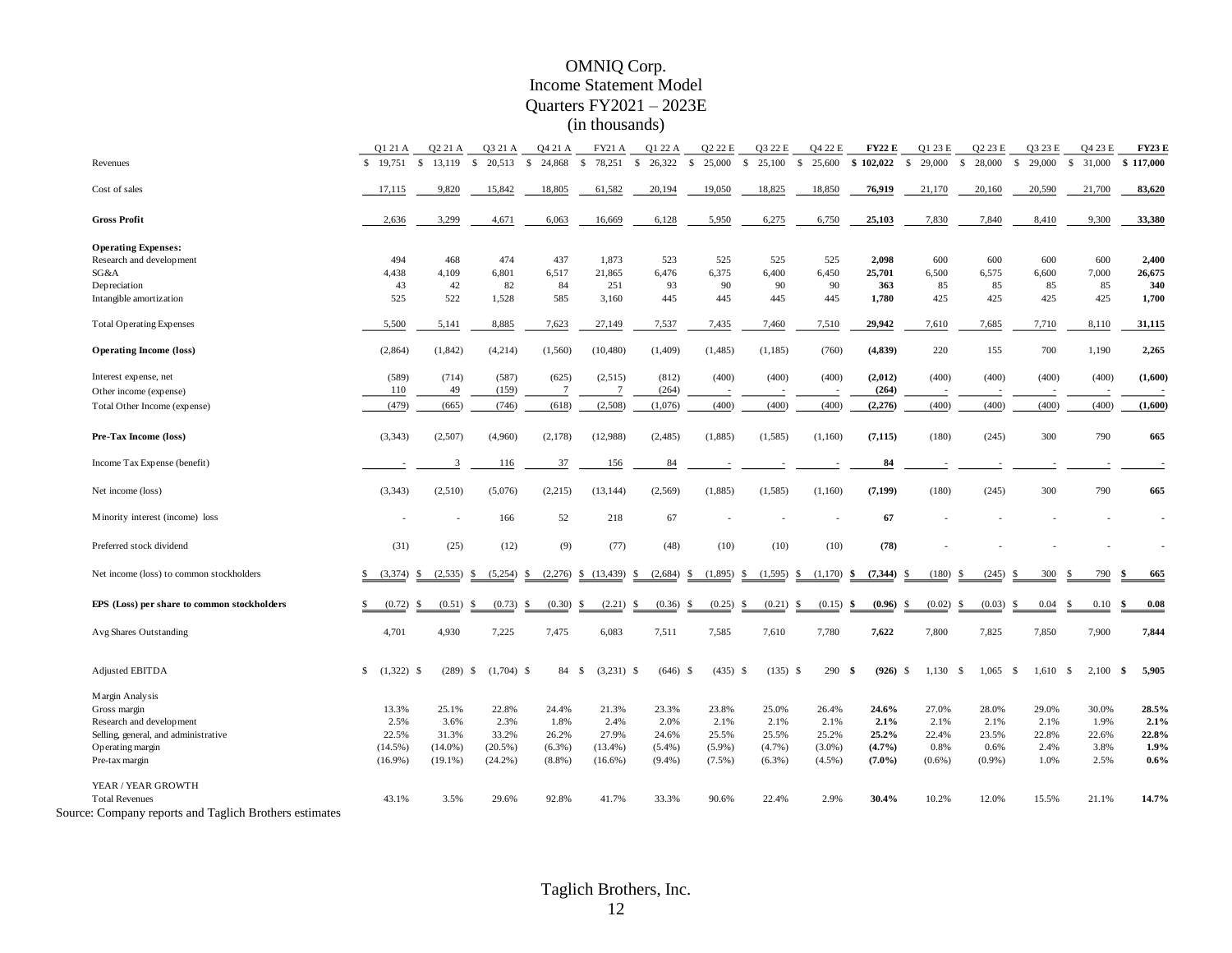#### OMNIQ Corp. Income Statement Model Quarters FY2021 – 2023E (in thousands)

|                                                        | Q1 21 A                  | Q2 21 A    | Q3 21 A            | Q4 21 A          | <b>FY21 A</b>              | Q1 22 A      | Q2 22 E                | Q3 22 E                   | Q4 22 E                | <b>FY22 E</b>      | Q1 23 E                | Q2 23 E                | Q3 23 E      | Q4 23 E     | <b>FY23 E</b>  |
|--------------------------------------------------------|--------------------------|------------|--------------------|------------------|----------------------------|--------------|------------------------|---------------------------|------------------------|--------------------|------------------------|------------------------|--------------|-------------|----------------|
| Revenues                                               | \$19,751                 | \$13,119   | $\mathbf{s}$       | 20,513 \$ 24,868 | \$ 78,251 \$ 26,322        |              | $\mathbf{s}$<br>25,000 | $\mathbf{s}$<br>25,100    | $\mathbf{s}$<br>25,600 | \$102,022          | $\mathbb{S}$<br>29,000 | -S<br>28,000           | \$ 29,000    | \$ 31,000   | \$117,000      |
| Cost of sales                                          | 17,115                   | 9,820      | 15,842             | 18,805           | 61,582                     | 20,194       | 19.050                 | 18,825                    | 18,850                 | 76,919             | 21,170                 | 20,160                 | 20,590       | 21,700      | 83,620         |
| <b>Gross Profit</b>                                    | 2,636                    | 3,299      | 4,671              | 6,063            | 16,669                     | 6,128        | 5,950                  | 6,275                     | 6,750                  | 25,103             | 7,830                  | 7,840                  | 8,410        | 9,300       | 33,380         |
| <b>Operating Expenses:</b>                             |                          |            |                    |                  |                            |              |                        |                           |                        |                    |                        |                        |              |             |                |
| Research and development                               | 494                      | 468        | 474                | 437              | 1,873                      | 523          | 525                    | 525                       | 525                    | 2,098              | 600                    | 600                    | 600          | 600         | 2,400          |
| SG&A                                                   | 4,438                    | 4,109      | 6,801              | 6,517            | 21,865                     | 6,476        | 6,375                  | 6,400                     | 6,450                  | 25,701             | 6,500                  | 6,575                  | 6,600        | 7,000       | 26,675         |
| Depreciation                                           | 43                       | 42         | 82                 | 84               | 251                        | 93           | 90                     | 90                        | 90                     | 363                | 85                     | 85                     | 85           | 85          | 340            |
| Intangible amortization                                | 525                      | 522        | 1,528              | 585              | 3,160                      | 445          | 445                    | 445                       | 445                    | 1,780              | 425                    | 425                    | 425          | 425         | 1,700          |
| <b>Total Operating Expenses</b>                        | 5,500                    | 5,141      | 8,885              | 7,623            | 27,149                     | 7,537        | 7,435                  | 7,460                     | 7,510                  | 29,942             | 7,610                  | 7,685                  | 7,710        | 8,110       | 31,115         |
| <b>Operating Income (loss)</b>                         | (2,864)                  | (1, 842)   | (4,214)            | (1,560)          | (10, 480)                  | (1,409)      | (1,485)                | (1, 185)                  | (760)                  | (4, 839)           | 220                    | 155                    | 700          | 1,190       | 2,265          |
| Interest expense, net                                  | (589)                    | (714)      | (587)              | (625)            | (2,515)                    | (812)        | (400)                  | (400)                     | (400)                  | (2,012)            | (400)                  | (400)                  | (400)        | (400)       | (1,600)        |
| Other income (expense)                                 | 110                      | 49         | (159)              | -7               | -7                         | (264)        |                        |                           |                        | (264)              |                        |                        |              |             |                |
| Total Other Income (expense)                           | (479)                    | (665)      | (746)              | (618)            | (2,508)                    | (1,076)      | (400)                  | (400)                     | (400)                  | (2,276)            | (400)                  | (400)                  | (400)        | (400)       | (1,600)        |
| Pre-Tax Income (loss)                                  | (3,343)                  | (2,507)    | (4,960)            | (2,178)          | (12,988)                   | (2, 485)     | (1,885)                | (1,585)                   | (1,160)                | (7, 115)           | (180)                  | (245)                  | 300          | 790         | 665            |
| Income Tax Expense (benefit)                           |                          | 3          | <b>116</b>         | 37               | 156                        | 84           |                        |                           |                        | 84                 |                        |                        |              |             |                |
| Net income (loss)                                      | (3,343)                  | (2,510)    | (5,076)            | (2,215)          | (13, 144)                  | (2,569)      | (1,885)                | (1,585)                   | (1,160)                | (7, 199)           | (180)                  | (245)                  | 300          | 790         | 665            |
| Minority interest (income) loss                        |                          |            | 166                | 52               | 218                        | 67           |                        |                           |                        | 67                 |                        |                        |              |             | $\blacksquare$ |
| Preferred stock dividend                               | (31)                     | (25)       | (12)               | (9)              | (77)                       | (48)         | (10)                   | (10)                      | (10)                   | (78)               |                        |                        |              |             |                |
| Net income (loss) to common stockholders               | $\frac{1}{2}$ (3,374) \$ | (2,535)    | $(5,254)$ \$<br>-S |                  | $(2,276)$ \$ $(13,439)$ \$ | (2,684)      |                        | $(1,895)$ \$ $(1,595)$ \$ | $(1,170)$ \$           | (7, 344)           | (180)<br>-S            | -S<br>(245)            | 300<br>\$.   | 790<br>-S   | 665<br>S       |
| EPS (Loss) per share to common stockholders            | (0.72)                   | (0.51)     | (0.73)<br>- \$     | (0.30)<br>S      | (2.21)<br>-S               | \$<br>(0.36) | (0.25)<br>-S           | (0.21)<br>- \$            | (0.15)<br>-S           | (0.96)<br>- \$     | (0.02)<br>\$           | (0.03)<br>S.           | 0.04<br>-S   | 0.10<br>-S  | 0.08<br>Ŝ.     |
| Avg Shares Outstanding                                 | 4,701                    | 4,930      | 7,225              | 7,475            | 6,083                      | 7,511        | 7,585                  | 7,610                     | 7,780                  | 7,622              | 7,800                  | 7,825                  | 7,850        | 7,900       | 7,844          |
| <b>Adjusted EBITDA</b>                                 |                          | (289)      | $(1,704)$ \$<br>-S | 84 \$            | $(3,231)$ \$               | $(646)$ \$   | $(435)$ \$             | $(135)$ \$                | 290                    | $(926)$ \$<br>- \$ | 1.130                  | <sup>\$</sup><br>1.065 | 1.610<br>- S | 2.100<br>-S | 5,905<br>- \$  |
| Margin Analysis                                        |                          |            |                    |                  |                            |              |                        |                           |                        |                    |                        |                        |              |             |                |
| Gross margin                                           | 13.3%                    | 25.1%      | 22.8%              | 24.4%            | 21.3%                      | 23.3%        | 23.8%                  | 25.0%                     | 26.4%                  | 24.6%              | 27.0%                  | 28.0%                  | 29.0%        | 30.0%       | 28.5%          |
| Research and development                               | 2.5%                     | 3.6%       | 2.3%               | 1.8%             | 2.4%                       | 2.0%         | 2.1%                   | 2.1%                      | 2.1%                   | 2.1%               | 2.1%                   | 2.1%                   | 2.1%         | 1.9%        | 2.1%           |
| Selling, general, and administrative                   | 22.5%                    | 31.3%      | 33.2%              | 26.2%            | 27.9%                      | 24.6%        | 25.5%                  | 25.5%                     | 25.2%                  | 25.2%              | 22.4%                  | 23.5%                  | 22.8%        | 22.6%       | 22.8%          |
| Operating margin                                       | $(14.5\%)$               | $(14.0\%)$ | $(20.5\%)$         | $(6.3\%)$        | $(13.4\%)$                 | $(5.4\%)$    | $(5.9\%)$              | (4.7%)                    | $(3.0\%)$              | (4.7%)             | 0.8%                   | 0.6%                   | 2.4%         | 3.8%        | 1.9%           |
| Pre-tax margin                                         | $(16.9\%)$               | $(19.1\%)$ | $(24.2\%)$         | $(8.8\%)$        | $(16.6\%)$                 | $(9.4\%)$    | $(7.5\%)$              | $(6.3\%)$                 | $(4.5\%)$              | $(7.0\%)$          | $(0.6\%)$              | (0.9%                  | 1.0%         | 2.5%        | 0.6%           |
| YEAR / YEAR GROWTH                                     |                          |            |                    |                  |                            |              |                        |                           |                        |                    |                        |                        |              |             |                |
| <b>Total Revenues</b>                                  | 43.1%                    | 3.5%       | 29.6%              | 92.8%            | 41.7%                      | 33.3%        | 90.6%                  | 22.4%                     | 2.9%                   | 30.4%              | 10.2%                  | 12.0%                  | 15.5%        | 21.1%       | 14.7%          |
| Source: Company reports and Taglich Brothers estimates |                          |            |                    |                  |                            |              |                        |                           |                        |                    |                        |                        |              |             |                |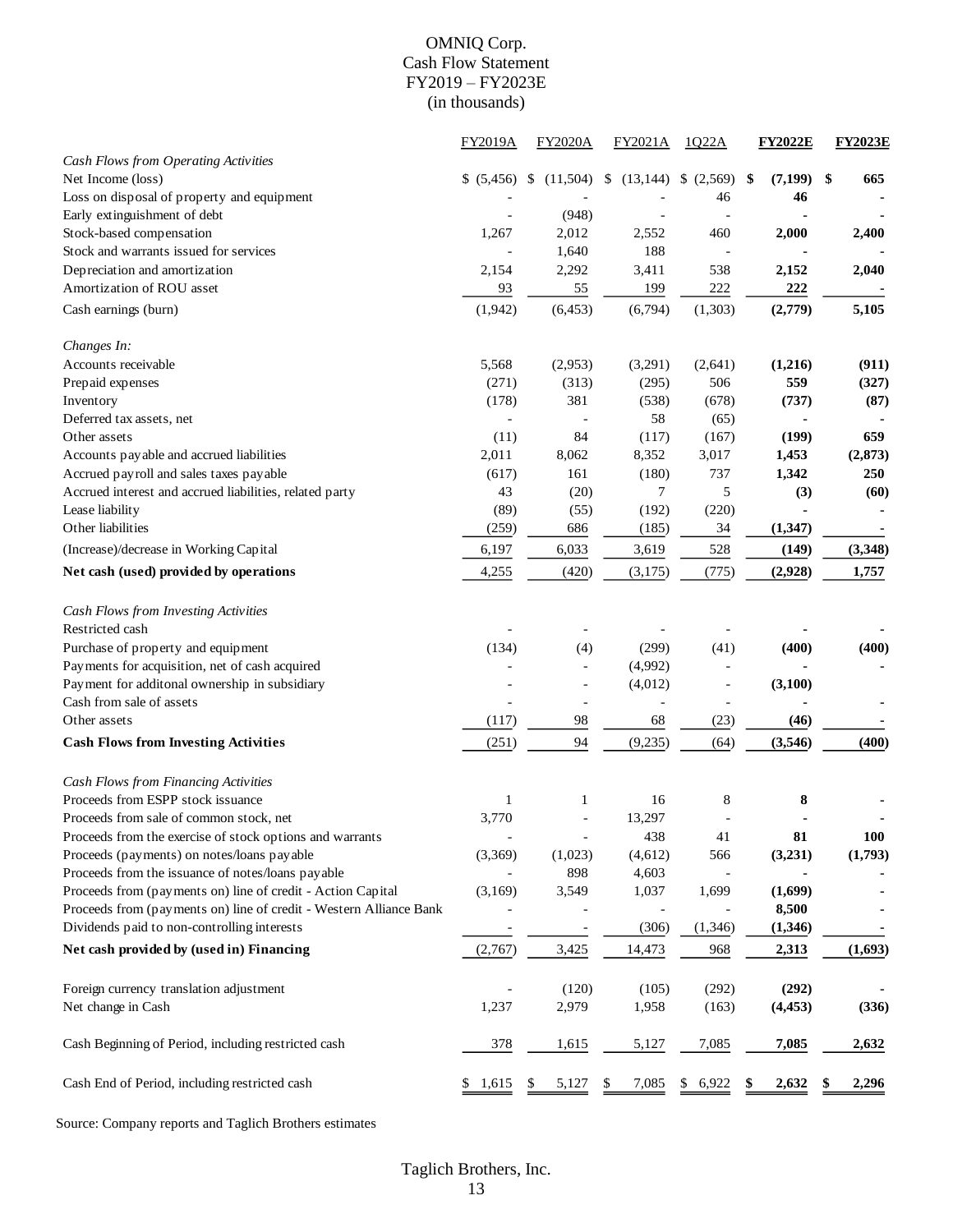#### OMNIQ Corp. Cash Flow Statement FY2019 – FY2023E (in thousands)

|                                                                    | <b>FY2019A</b>         | <b>FY2020A</b>               | FY2021A         | 1022A                    | <b>FY2022E</b>     | <b>FY2023E</b> |
|--------------------------------------------------------------------|------------------------|------------------------------|-----------------|--------------------------|--------------------|----------------|
| Cash Flows from Operating Activities                               |                        |                              |                 |                          |                    |                |
| Net Income (loss)                                                  | \$ (5,456)             | (11,504)<br>S.               | (13, 144)<br>\$ | \$<br>(2,569)            | (7, 199)<br>-\$    | -\$<br>665     |
| Loss on disposal of property and equipment                         |                        |                              |                 | 46                       | 46                 |                |
| Early extinguishment of debt                                       |                        | (948)                        |                 |                          |                    |                |
| Stock-based compensation                                           | 1,267                  | 2,012                        | 2,552           | 460                      | 2,000              | 2,400          |
| Stock and warrants issued for services                             |                        | 1,640                        | 188             | $\overline{\phantom{a}}$ |                    |                |
| Depreciation and amortization                                      | 2,154                  | 2,292                        | 3,411           | 538                      | 2,152              | 2,040          |
| Amortization of ROU asset                                          | 93                     | 55                           | 199             | 222                      | 222                |                |
| Cash earnings (burn)                                               | (1,942)                | (6, 453)                     | (6,794)         | (1,303)                  | (2,779)            | 5,105          |
| Changes In:                                                        |                        |                              |                 |                          |                    |                |
| Accounts receivable                                                | 5,568                  | (2,953)                      | (3,291)         | (2,641)                  | (1,216)            | (911)          |
| Prepaid expenses                                                   | (271)                  | (313)                        | (295)           | 506                      | 559                | (327)          |
| Inventory                                                          | (178)                  | 381                          | (538)           | (678)                    | (737)              | (87)           |
| Deferred tax assets, net                                           | $\overline{a}$         | $\blacksquare$               | 58              | (65)                     | $\blacksquare$     |                |
| Other assets                                                       | (11)                   | 84                           | (117)           | (167)                    | (199)              | 659            |
| Accounts payable and accrued liabilities                           | 2,011                  | 8,062                        | 8,352           | 3,017                    | 1,453              | (2, 873)       |
| Accrued payroll and sales taxes payable                            | (617)                  | 161                          | (180)           | 737                      | 1,342              | 250            |
| Accrued interest and accrued liabilities, related party            | 43                     | (20)                         | 7               | 5                        | (3)                | (60)           |
| Lease liability                                                    | (89)                   | (55)                         | (192)           | (220)                    |                    |                |
| Other liabilities                                                  | (259)                  | 686                          | (185)           | 34                       | (1, 347)           |                |
| (Increase)/decrease in Working Capital                             | 6,197                  | 6,033                        | 3,619           | 528                      | (149)              | (3,348)        |
| Net cash (used) provided by operations                             | 4,255                  | (420)                        | (3,175)         | (775)                    | (2,928)            | 1,757          |
| Cash Flows from Investing Activities                               |                        |                              |                 |                          |                    |                |
| Restricted cash                                                    |                        |                              |                 |                          |                    |                |
| Purchase of property and equipment                                 | (134)                  | (4)                          | (299)           | (41)                     | (400)              | (400)          |
| Payments for acquisition, net of cash acquired                     |                        | $\blacksquare$               | (4,992)         |                          |                    |                |
| Payment for additonal ownership in subsidiary                      |                        | $\blacksquare$               | (4,012)         | $\overline{\phantom{a}}$ | (3,100)            |                |
| Cash from sale of assets                                           |                        |                              |                 |                          |                    |                |
| Other assets                                                       | (117)                  | 98                           | 68              | (23)                     | (46)               |                |
| <b>Cash Flows from Investing Activities</b>                        | (251)                  | 94                           | (9,235)         | (64)                     | (3,546)            | (400)          |
| Cash Flows from Financing Activities                               |                        |                              |                 |                          |                    |                |
| Proceeds from ESPP stock issuance                                  | 1                      | 1                            | 16              | 8                        | 8                  |                |
| Proceeds from sale of common stock, net                            | 3,770                  | $\overline{a}$               | 13,297          |                          |                    |                |
| Proceeds from the exercise of stock options and warrants           |                        | $\qquad \qquad \blacksquare$ | 438             | 41                       | 81                 | <b>100</b>     |
| Proceeds (payments) on notes/loans payable                         | (3,369)                | (1,023)                      | (4,612)         | 566                      | (3,231)            | (1,793)        |
| Proceeds from the issuance of notes/loans payable                  |                        | 898                          | 4,603           |                          |                    |                |
| Proceeds from (payments on) line of credit - Action Capital        | (3,169)                | 3,549                        | 1,037           | 1,699                    | (1,699)            |                |
| Proceeds from (payments on) line of credit - Western Alliance Bank |                        |                              |                 |                          | 8,500              |                |
| Dividends paid to non-controlling interests                        |                        |                              | (306)           | (1, 346)                 | (1, 346)           |                |
| Net cash provided by (used in) Financing                           | (2,767)                | 3,425                        | 14,473          | 968                      | 2,313              | (1,693)        |
| Foreign currency translation adjustment                            |                        | (120)                        | (105)           | (292)                    | (292)              |                |
| Net change in Cash                                                 | 1,237                  | 2,979                        | 1,958           | (163)                    | (4, 453)           | (336)          |
| Cash Beginning of Period, including restricted cash                | 378                    | 1,615                        | 5,127           | 7,085                    | 7,085              | 2,632          |
| Cash End of Period, including restricted cash                      | 1,615<br>$\frac{1}{2}$ | 5,127                        | 7,085<br>\$     | 6,922<br>\$              | <u>2,632</u><br>\$ | 2,296<br>\$    |
|                                                                    |                        |                              |                 |                          |                    |                |

Source: Company reports and Taglich Brothers estimates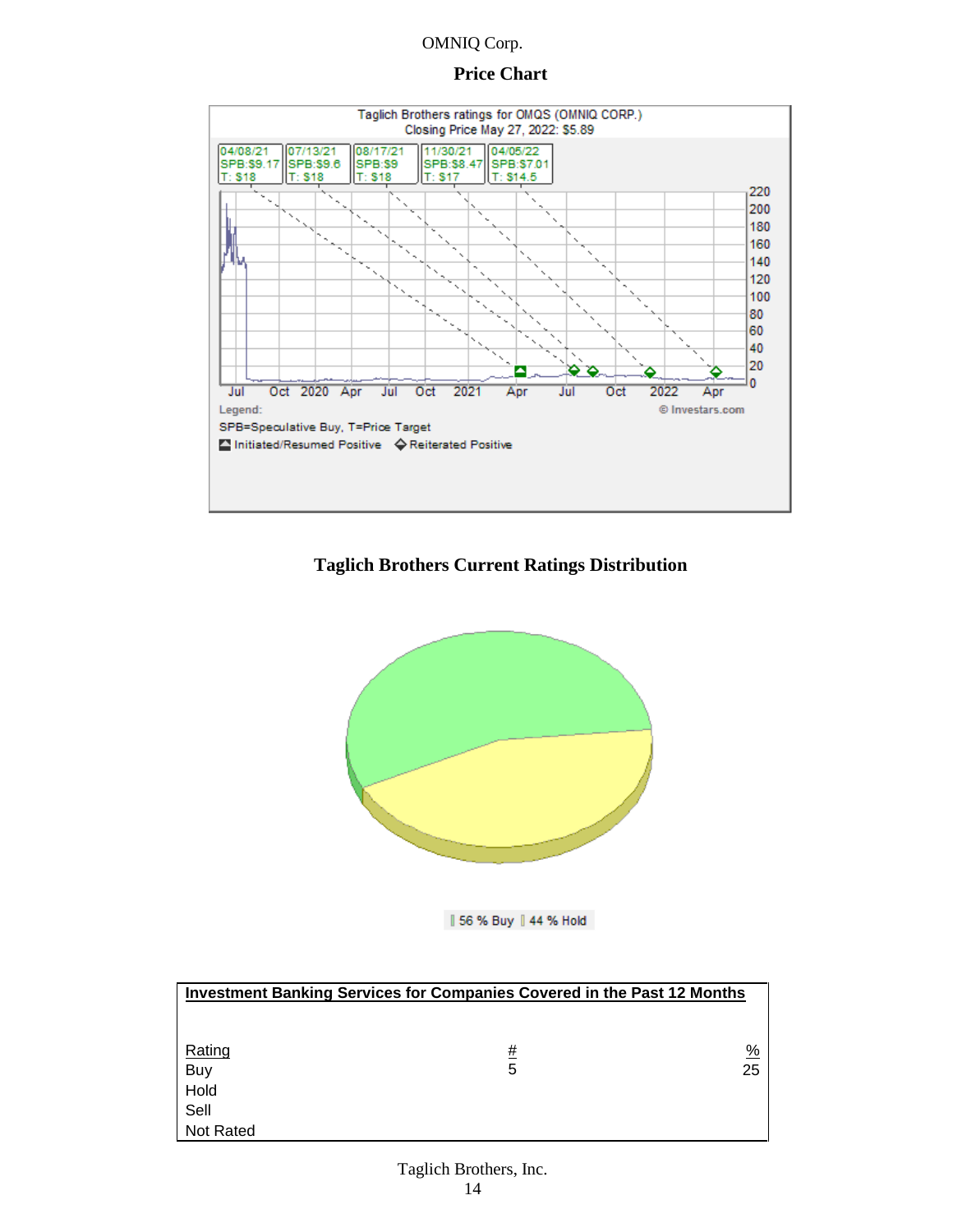#### **Price Chart**



#### **Taglich Brothers Current Ratings Distribution**



| 56 % Buy | 44 % Hold

| <b>Investment Banking Services for Companies Covered in the Past 12 Months</b> |   |               |  |  |  |  |
|--------------------------------------------------------------------------------|---|---------------|--|--|--|--|
|                                                                                |   |               |  |  |  |  |
|                                                                                |   |               |  |  |  |  |
| Rating                                                                         | # | $\frac{9}{6}$ |  |  |  |  |
| Buy                                                                            | 5 | 25            |  |  |  |  |
| Hold                                                                           |   |               |  |  |  |  |
| Sell                                                                           |   |               |  |  |  |  |
| <b>Not Rated</b>                                                               |   |               |  |  |  |  |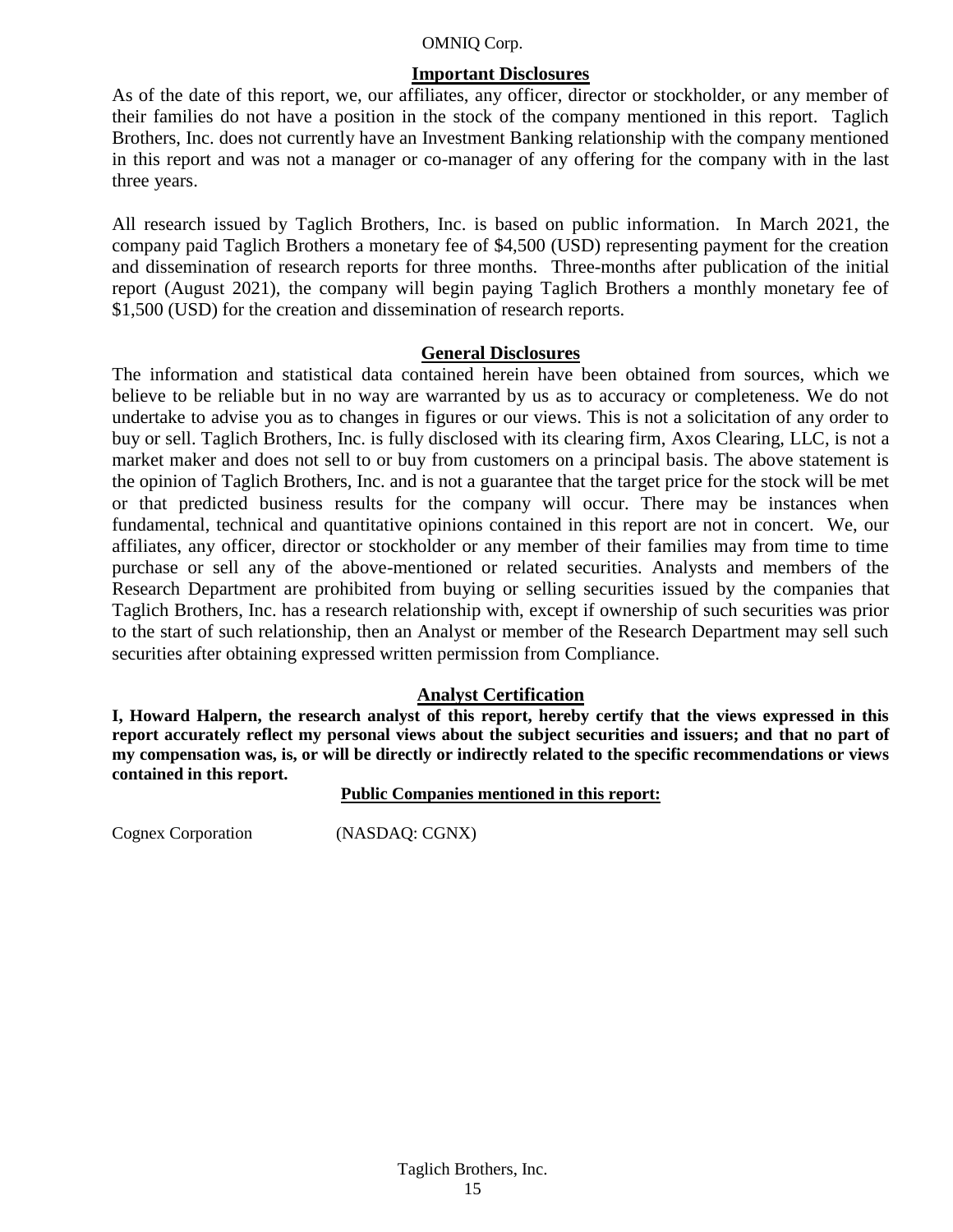#### **Important Disclosures**

As of the date of this report, we, our affiliates, any officer, director or stockholder, or any member of their families do not have a position in the stock of the company mentioned in this report. Taglich Brothers, Inc. does not currently have an Investment Banking relationship with the company mentioned in this report and was not a manager or co-manager of any offering for the company with in the last three years.

All research issued by Taglich Brothers, Inc. is based on public information. In March 2021, the company paid Taglich Brothers a monetary fee of \$4,500 (USD) representing payment for the creation and dissemination of research reports for three months. Three-months after publication of the initial report (August 2021), the company will begin paying Taglich Brothers a monthly monetary fee of \$1,500 (USD) for the creation and dissemination of research reports.

#### **General Disclosures**

The information and statistical data contained herein have been obtained from sources, which we believe to be reliable but in no way are warranted by us as to accuracy or completeness. We do not undertake to advise you as to changes in figures or our views. This is not a solicitation of any order to buy or sell. Taglich Brothers, Inc. is fully disclosed with its clearing firm, Axos Clearing, LLC, is not a market maker and does not sell to or buy from customers on a principal basis. The above statement is the opinion of Taglich Brothers, Inc. and is not a guarantee that the target price for the stock will be met or that predicted business results for the company will occur. There may be instances when fundamental, technical and quantitative opinions contained in this report are not in concert. We, our affiliates, any officer, director or stockholder or any member of their families may from time to time purchase or sell any of the above-mentioned or related securities. Analysts and members of the Research Department are prohibited from buying or selling securities issued by the companies that Taglich Brothers, Inc. has a research relationship with, except if ownership of such securities was prior to the start of such relationship, then an Analyst or member of the Research Department may sell such securities after obtaining expressed written permission from Compliance.

#### **Analyst Certification**

**I, Howard Halpern, the research analyst of this report, hereby certify that the views expressed in this report accurately reflect my personal views about the subject securities and issuers; and that no part of my compensation was, is, or will be directly or indirectly related to the specific recommendations or views contained in this report.**

**Public Companies mentioned in this report:**

Cognex Corporation (NASDAQ: CGNX)